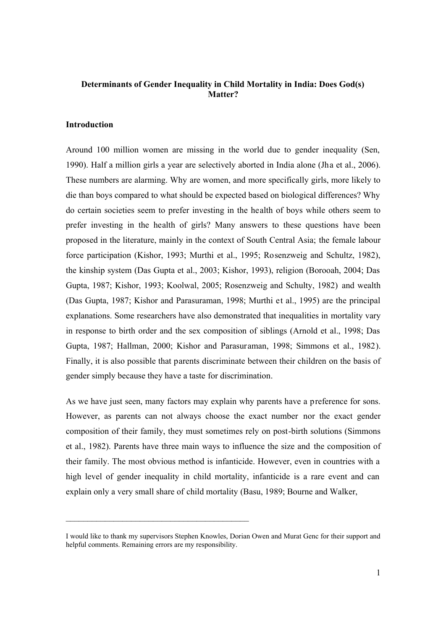# **Determinants of Gender Inequality in Child Mortality in India: Does God(s) Matter?**

### **Introduction**

Around 100 million women are missing in the world due to gender inequality (Sen, 1990). Half a million girls a year are selectively aborted in India alone (Jha et al., 2006). These numbers are alarming. Why are women, and more specifically girls, more likely to die than boys compared to what should be expected based on biological differences? Why do certain societies seem to prefer investing in the health of boys while others seem to prefer investing in the health of girls? Many answers to these questions have been proposed in the literature, mainly in the context of South Central Asia; the female labour force participation (Kishor, 1993; Murthi et al., 1995; Rosenzweig and Schultz, 1982), the kinship system (Das Gupta et al., 2003; Kishor, 1993), religion (Borooah, 2004; Das Gupta, 1987; Kishor, 1993; Koolwal, 2005; Rosenzweig and Schulty, 1982) and wealth (Das Gupta, 1987; Kishor and Parasuraman, 1998; Murthi et al., 1995) are the principal explanations. Some researchers have also demonstrated that inequalities in mortality vary in response to birth order and the sex composition of siblings (Arnold et al., 1998; Das Gupta, 1987; Hallman, 2000; Kishor and Parasuraman, 1998; Simmons et al., 1982). Finally, it is also possible that parents discriminate between their children on the basis of gender simply because they have a taste for discrimination.

As we have just seen, many factors may explain why parents have a preference for sons. However, as parents can not always choose the exact number nor the exact gender composition of their family, they must sometimes rely on post-birth solutions (Simmons et al., 1982). Parents have three main ways to influence the size and the composition of their family. The most obvious method is infanticide. However, even in countries with a high level of gender inequality in child mortality, infanticide is a rare event and can explain only a very small share of child mortality (Basu, 1989; Bourne and Walker,

 $\mathcal{L}_\text{max}$  , and the set of the set of the set of the set of the set of the set of the set of the set of the set of the set of the set of the set of the set of the set of the set of the set of the set of the set of the

I would like to thank my supervisors Stephen Knowles, Dorian Owen and Murat Genc for their support and helpful comments. Remaining errors are my responsibility.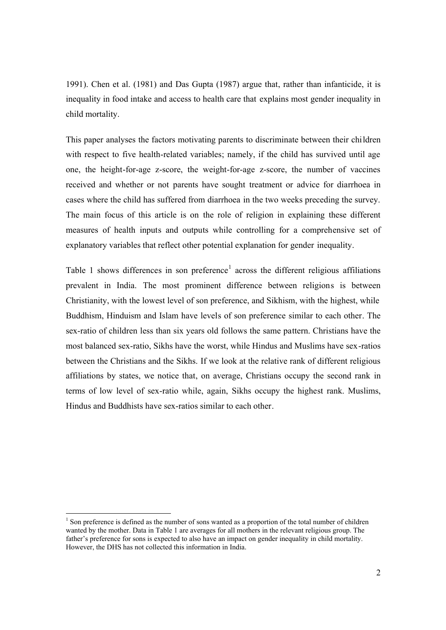1991). Chen et al. (1981) and Das Gupta (1987) argue that, rather than infanticide, it is inequality in food intake and access to health care that explains most gender inequality in child mortality.

This paper analyses the factors motivating parents to discriminate between their children with respect to five health-related variables; namely, if the child has survived until age one, the height-for-age z-score, the weight-for-age z-score, the number of vaccines received and whether or not parents have sought treatment or advice for diarrhoea in cases where the child has suffered from diarrhoea in the two weeks preceding the survey. The main focus of this article is on the role of religion in explaining these different measures of health inputs and outputs while controlling for a comprehensive set of explanatory variables that reflect other potential explanation for gender inequality.

Table 1 shows differences in son preference<sup>1</sup> across the different religious affiliations prevalent in India. The most prominent difference between religions is between Christianity, with the lowest level of son preference, and Sikhism, with the highest, while Buddhism, Hinduism and Islam have levels of son preference similar to each other. The sex-ratio of children less than six years old follows the same pattern. Christians have the most balanced sex-ratio, Sikhs have the worst, while Hindus and Muslims have sex-ratios between the Christians and the Sikhs. If we look at the relative rank of different religious affiliations by states, we notice that, on average, Christians occupy the second rank in terms of low level of sex-ratio while, again, Sikhs occupy the highest rank. Muslims, Hindus and Buddhists have sex-ratios similar to each other.

l

 $1$  Son preference is defined as the number of sons wanted as a proportion of the total number of children wanted by the mother. Data in Table 1 are averages for all mothers in the relevant religious group. The father's preference for sons is expected to also have an impact on gender inequality in child mortality. However, the DHS has not collected this information in India.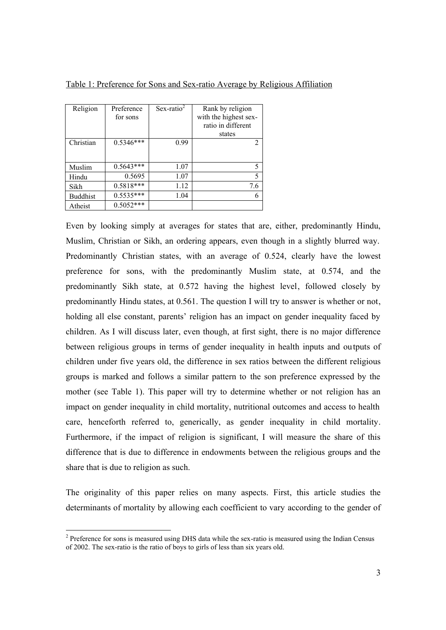| Table 1: Preference for Sons and Sex-ratio Average by Religious Affiliation |  |  |  |  |  |  |  |  |  |
|-----------------------------------------------------------------------------|--|--|--|--|--|--|--|--|--|
|                                                                             |  |  |  |  |  |  |  |  |  |

| Religion        | Preference<br>for sons | $Sex-ratio2$ | Rank by religion<br>with the highest sex- |
|-----------------|------------------------|--------------|-------------------------------------------|
|                 |                        |              | ratio in different                        |
|                 |                        |              | states                                    |
| Christian       | $0.5346***$            | 0.99         | 2                                         |
|                 |                        |              |                                           |
| Muslim          | $0.5643***$            | 1.07         | 5                                         |
| Hindu           | 0.5695                 | 1.07         | 5                                         |
| Sikh            | $0.5818***$            | 1.12         | 7.6                                       |
| <b>Buddhist</b> | $0.5535***$            | 1.04         | 6                                         |
| Atheist         | $0.5052***$            |              |                                           |

Even by looking simply at averages for states that are, either, predominantly Hindu, Muslim, Christian or Sikh, an ordering appears, even though in a slightly blurred way. Predominantly Christian states, with an average of 0.524, clearly have the lowest preference for sons, with the predominantly Muslim state, at 0.574, and the predominantly Sikh state, at 0.572 having the highest level, followed closely by predominantly Hindu states, at 0.561. The question I will try to answer is whether or not, holding all else constant, parents' religion has an impact on gender inequality faced by children. As I will discuss later, even though, at first sight, there is no major difference between religious groups in terms of gender inequality in health inputs and outputs of children under five years old, the difference in sex ratios between the different religious groups is marked and follows a similar pattern to the son preference expressed by the mother (see Table 1). This paper will try to determine whether or not religion has an impact on gender inequality in child mortality, nutritional outcomes and access to health care, henceforth referred to, generically, as gender inequality in child mortality. Furthermore, if the impact of religion is significant, I will measure the share of this difference that is due to difference in endowments between the religious groups and the share that is due to religion as such.

The originality of this paper relies on many aspects. First, this article studies the determinants of mortality by allowing each coefficient to vary according to the gender of

<sup>&</sup>lt;sup>2</sup> Preference for sons is measured using DHS data while the sex-ratio is measured using the Indian Census of 2002. The sex-ratio is the ratio of boys to girls of less than six years old.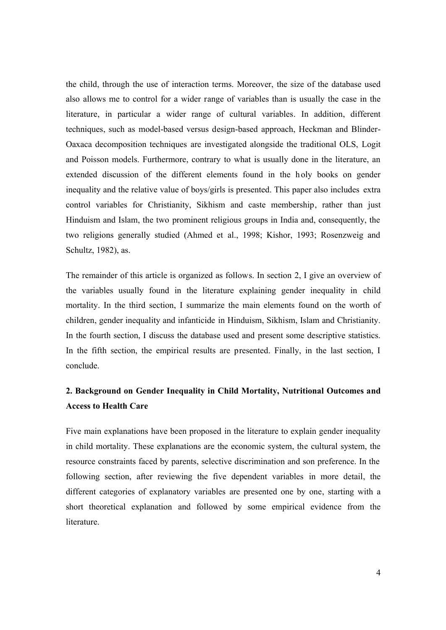the child, through the use of interaction terms. Moreover, the size of the database used also allows me to control for a wider range of variables than is usually the case in the literature, in particular a wider range of cultural variables. In addition, different techniques, such as model-based versus design-based approach, Heckman and Blinder-Oaxaca decomposition techniques are investigated alongside the traditional OLS, Logit and Poisson models. Furthermore, contrary to what is usually done in the literature, an extended discussion of the different elements found in the h oly books on gender inequality and the relative value of boys/girls is presented. This paper also includes extra control variables for Christianity, Sikhism and caste membership, rather than just Hinduism and Islam, the two prominent religious groups in India and, consequently, the two religions generally studied (Ahmed et al., 1998; Kishor, 1993; Rosenzweig and Schultz, 1982), as.

The remainder of this article is organized as follows. In section 2, I give an overview of the variables usually found in the literature explaining gender inequality in child mortality. In the third section, I summarize the main elements found on the worth of children, gender inequality and infanticide in Hinduism, Sikhism, Islam and Christianity. In the fourth section, I discuss the database used and present some descriptive statistics. In the fifth section, the empirical results are presented. Finally, in the last section, I conclude.

# **2. Background on Gender Inequality in Child Mortality, Nutritional Outcomes and Access to Health Care**

Five main explanations have been proposed in the literature to explain gender inequality in child mortality. These explanations are the economic system, the cultural system, the resource constraints faced by parents, selective discrimination and son preference. In the following section, after reviewing the five dependent variables in more detail, the different categories of explanatory variables are presented one by one, starting with a short theoretical explanation and followed by some empirical evidence from the literature.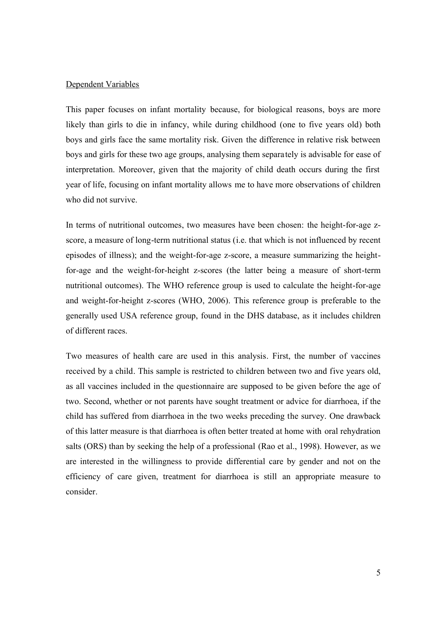### Dependent Variables

This paper focuses on infant mortality because, for biological reasons, boys are more likely than girls to die in infancy, while during childhood (one to five years old) both boys and girls face the same mortality risk. Given the difference in relative risk between boys and girls for these two age groups, analysing them separately is advisable for ease of interpretation. Moreover, given that the majority of child death occurs during the first year of life, focusing on infant mortality allows me to have more observations of children who did not survive.

In terms of nutritional outcomes, two measures have been chosen: the height-for-age zscore, a measure of long-term nutritional status (i.e. that which is not influenced by recent episodes of illness); and the weight-for-age z-score, a measure summarizing the heightfor-age and the weight-for-height z-scores (the latter being a measure of short-term nutritional outcomes). The WHO reference group is used to calculate the height-for-age and weight-for-height z-scores (WHO, 2006). This reference group is preferable to the generally used USA reference group, found in the DHS database, as it includes children of different races.

Two measures of health care are used in this analysis. First, the number of vaccines received by a child. This sample is restricted to children between two and five years old, as all vaccines included in the questionnaire are supposed to be given before the age of two. Second, whether or not parents have sought treatment or advice for diarrhoea, if the child has suffered from diarrhoea in the two weeks preceding the survey. One drawback of this latter measure is that diarrhoea is often better treated at home with oral rehydration salts (ORS) than by seeking the help of a professional (Rao et al., 1998). However, as we are interested in the willingness to provide differential care by gender and not on the efficiency of care given, treatment for diarrhoea is still an appropriate measure to consider.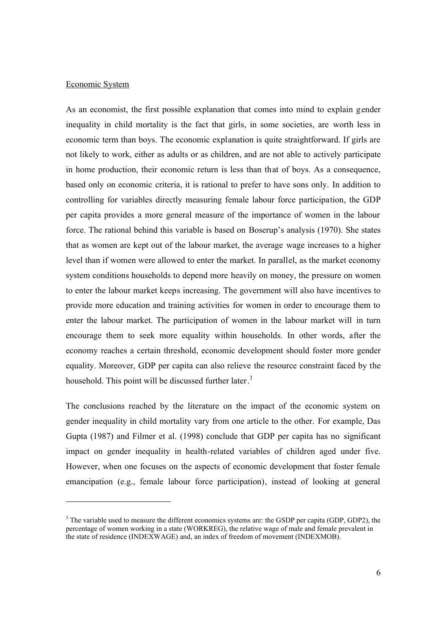### Economic System

As an economist, the first possible explanation that comes into mind to explain gender inequality in child mortality is the fact that girls, in some societies, are worth less in economic term than boys. The economic explanation is quite straightforward. If girls are not likely to work, either as adults or as children, and are not able to actively participate in home production, their economic return is less than that of boys. As a consequence, based only on economic criteria, it is rational to prefer to have sons only. In addition to controlling for variables directly measuring female labour force participation, the GDP per capita provides a more general measure of the importance of women in the labour force. The rational behind this variable is based on Boserup's analysis (1970). She states that as women are kept out of the labour market, the average wage increases to a higher level than if women were allowed to enter the market. In parallel, as the market economy system conditions households to depend more heavily on money, the pressure on women to enter the labour market keeps increasing. The government will also have incentives to provide more education and training activities for women in order to encourage them to enter the labour market. The participation of women in the labour market will in turn encourage them to seek more equality within households. In other words, after the economy reaches a certain threshold, economic development should foster more gender equality. Moreover, GDP per capita can also relieve the resource constraint faced by the household. This point will be discussed further later.<sup>3</sup>

The conclusions reached by the literature on the impact of the economic system on gender inequality in child mortality vary from one article to the other. For example, Das Gupta (1987) and Filmer et al. (1998) conclude that GDP per capita has no significant impact on gender inequality in health-related variables of children aged under five. However, when one focuses on the aspects of economic development that foster female emancipation (e.g., female labour force participation), instead of looking at general

 $3$  The variable used to measure the different economics systems are: the GSDP per capita (GDP, GDP2), the percentage of women working in a state (WORKREG), the relative wage of male and female prevalent in the state of residence (INDEXWAGE) and, an index of freedom of movement (INDEXMOB).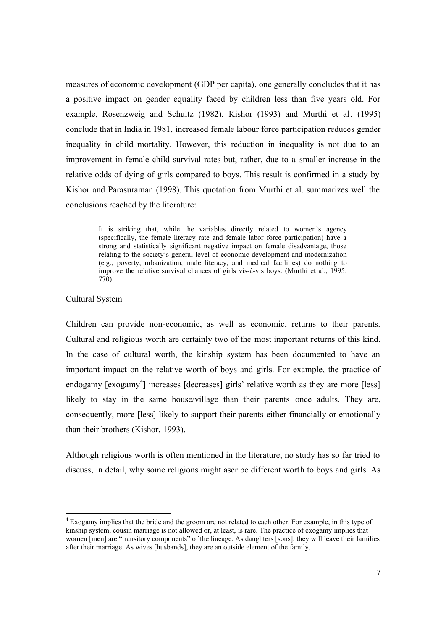measures of economic development (GDP per capita), one generally concludes that it has a positive impact on gender equality faced by children less than five years old. For example, Rosenzweig and Schultz (1982), Kishor (1993) and Murthi et al. (1995) conclude that in India in 1981, increased female labour force participation reduces gender inequality in child mortality. However, this reduction in inequality is not due to an improvement in female child survival rates but, rather, due to a smaller increase in the relative odds of dying of girls compared to boys. This result is confirmed in a study by Kishor and Parasuraman (1998). This quotation from Murthi et al. summarizes well the conclusions reached by the literature:

> It is striking that, while the variables directly related to women's agency (specifically, the female literacy rate and female labor force participation) have a strong and statistically significant negative impact on female disadvantage, those relating to the society's general level of economic development and modernization (e.g., poverty, urbanization, male literacy, and medical facilities) do nothing to improve the relative survival chances of girls vis-à-vis boys. (Murthi et al., 1995: 770)

### Cultural System

l

Children can provide non-economic, as well as economic, returns to their parents. Cultural and religious worth are certainly two of the most important returns of this kind. In the case of cultural worth, the kinship system has been documented to have an important impact on the relative worth of boys and girls. For example, the practice of endogamy [exogamy<sup>4</sup>] increases [decreases] girls' relative worth as they are more [less] likely to stay in the same house/village than their parents once adults. They are, consequently, more [less] likely to support their parents either financially or emotionally than their brothers (Kishor, 1993).

Although religious worth is often mentioned in the literature, no study has so far tried to discuss, in detail, why some religions might ascribe different worth to boys and girls. As

<sup>4</sup> Exogamy implies that the bride and the groom are not related to each other. For example, in this type of kinship system, cousin marriage is not allowed or, at least, is rare. The practice of exogamy implies that women [men] are "transitory components" of the lineage. As daughters [sons], they will leave their families after their marriage. As wives [husbands], they are an outside element of the family.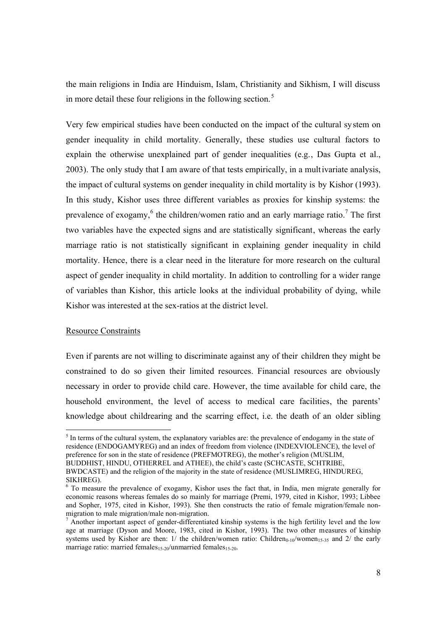the main religions in India are Hinduism, Islam, Christianity and Sikhism, I will discuss in more detail these four religions in the following section.<sup>5</sup>

Very few empirical studies have been conducted on the impact of the cultural system on gender inequality in child mortality. Generally, these studies use cultural factors to explain the otherwise unexplained part of gender inequalities (e.g., Das Gupta et al., 2003). The only study that I am aware of that tests empirically, in a multivariate analysis, the impact of cultural systems on gender inequality in child mortality is by Kishor (1993). In this study, Kishor uses three different variables as proxies for kinship systems: the prevalence of exogamy,<sup>6</sup> the children/women ratio and an early marriage ratio.<sup>7</sup> The first two variables have the expected signs and are statistically significant, whereas the early marriage ratio is not statistically significant in explaining gender inequality in child mortality. Hence, there is a clear need in the literature for more research on the cultural aspect of gender inequality in child mortality. In addition to controlling for a wider range of variables than Kishor, this article looks at the individual probability of dying, while Kishor was interested at the sex-ratios at the district level.

### Resource Constraints

Even if parents are not willing to discriminate against any of their children they might be constrained to do so given their limited resources. Financial resources are obviously necessary in order to provide child care. However, the time available for child care, the household environment, the level of access to medical care facilities, the parents' knowledge about childrearing and the scarring effect, i.e. the death of an older sibling

l <sup>5</sup> In terms of the cultural system, the explanatory variables are: the prevalence of endogamy in the state of residence (ENDOGAMYREG) and an index of freedom from violence (INDEXVIOLENCE), the level of preference for son in the state of residence (PREFMOTREG), the mother's religion (MUSLIM, BUDDHIST, HINDU, OTHERREL and ATHEE), the child's caste (SCHCASTE, SCHTRIBE, BWDCASTE) and the religion of the majority in the state of residence (MUSLIMREG, HINDUREG,

SIKHREG).

<sup>&</sup>lt;sup>6</sup> To measure the prevalence of exogamy, Kishor uses the fact that, in India, men migrate generally for economic reasons whereas females do so mainly for marriage (Premi, 1979, cited in Kishor, 1993; Libbee and Sopher, 1975, cited in Kishor, 1993). She then constructs the ratio of female migration/female nonmigration to male migration/male non-migration.

 $<sup>7</sup>$  Another important aspect of gender-differentiated kinship systems is the high fertility level and the low</sup> age at marriage (Dyson and Moore, 1983, cited in Kishor, 1993). The two other measures of kinship systems used by Kishor are then:  $1/$  the children/women ratio: Children<sub>0-10</sub>/women<sub>15-35</sub> and  $2/$  the early marriage ratio: married females<sub>15-20</sub>/unmarried females<sub>15-20</sub>.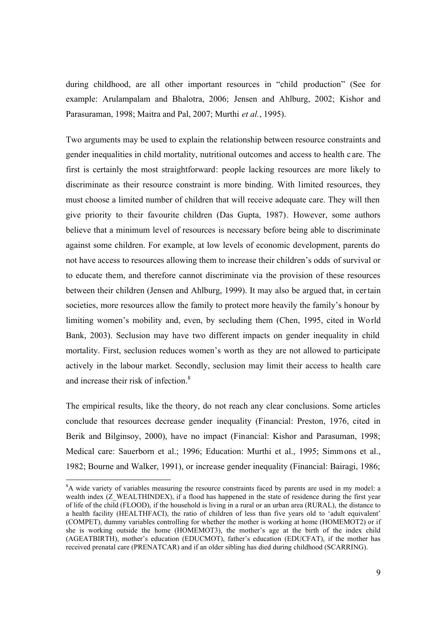during childhood, are all other important resources in "child production" (See for example: Arulampalam and Bhalotra, 2006; Jensen and Ahlburg, 2002; Kishor and Parasuraman, 1998; Maitra and Pal, 2007; Murthi *et al.*, 1995).

Two arguments may be used to explain the relationship between resource constraints and gender inequalities in child mortality, nutritional outcomes and access to health c are. The first is certainly the most straightforward: people lacking resources are more likely to discriminate as their resource constraint is more binding. With limited resources, they must choose a limited number of children that will receive adequate care. They will then give priority to their favourite children (Das Gupta, 1987). However, some authors believe that a minimum level of resources is necessary before being able to discriminate against some children. For example, at low levels of economic development, parents do not have access to resources allowing them to increase their children's odds of survival or to educate them, and therefore cannot discriminate via the provision of these resources between their children (Jensen and Ahlburg, 1999). It may also be argued that, in certain societies, more resources allow the family to protect more heavily the family's honour by limiting women's mobility and, even, by secluding them (Chen, 1995, cited in World Bank, 2003). Seclusion may have two different impacts on gender inequality in child mortality. First, seclusion reduces women's worth as they are not allowed to participate actively in the labour market. Secondly, seclusion may limit their access to health care and increase their risk of infection. 8

The empirical results, like the theory, do not reach any clear conclusions. Some articles conclude that resources decrease gender inequality (Financial: Preston, 1976, cited in Berik and Bilginsoy, 2000), have no impact (Financial: Kishor and Parasuman, 1998; Medical care: Sauerborn et al.; 1996; Education: Murthi et al., 1995; Simmons et al., 1982; Bourne and Walker, 1991), or increase gender inequality (Financial: Bairagi, 1986;

<sup>8</sup>A wide variety of variables measuring the resource constraints faced by parents are used in my model: a wealth index (Z\_WEALTHINDEX), if a flood has happened in the state of residence during the first year of life of the child (FLOOD), if the household is living in a rural or an urban area (RURAL), the distance to a health facility (HEALTHFACI), the ratio of children of less than five years old to 'adult equivalent' (COMPET), dummy variables controlling for whether the mother is working at home (HOMEMOT2) or if she is working outside the home (HOMEMOT3), the mother's age at the birth of the index child (AGEATBIRTH), mother's education (EDUCMOT), father's education (EDUCFAT), if the mother has received prenatal care (PRENATCAR) and if an older sibling has died during childhood (SCARRING).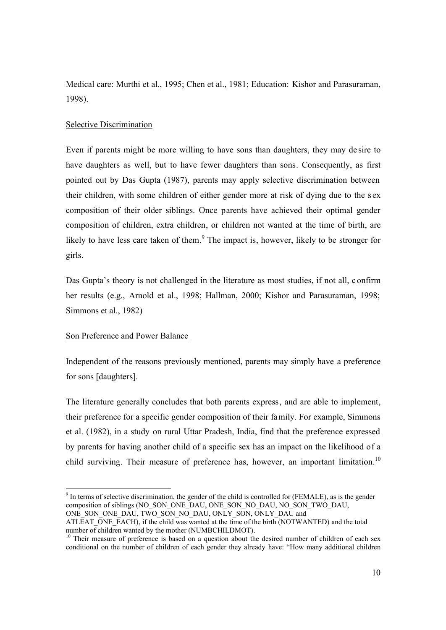Medical care: Murthi et al., 1995; Chen et al., 1981; Education: Kishor and Parasuraman, 1998).

### Selective Discrimination

Even if parents might be more willing to have sons than daughters, they may de sire to have daughters as well, but to have fewer daughters than sons. Consequently, as first pointed out by Das Gupta (1987), parents may apply selective discrimination between their children, with some children of either gender more at risk of dying due to the s ex composition of their older siblings. Once parents have achieved their optimal gender composition of children, extra children, or children not wanted at the time of birth, are likely to have less care taken of them.<sup>9</sup> The impact is, however, likely to be stronger for girls.

Das Gupta's theory is not challenged in the literature as most studies, if not all, c onfirm her results (e.g., Arnold et al., 1998; Hallman, 2000; Kishor and Parasuraman, 1998; Simmons et al., 1982)

### Son Preference and Power Balance

Independent of the reasons previously mentioned, parents may simply have a preference for sons [daughters].

The literature generally concludes that both parents express, and are able to implement, their preference for a specific gender composition of their family. For example, Simmons et al. (1982), in a study on rural Uttar Pradesh, India, find that the preference expressed by parents for having another child of a specific sex has an impact on the likelihood of a child surviving. Their measure of preference has, however, an important limitation.<sup>10</sup>

  $9$  In terms of selective discrimination, the gender of the child is controlled for (FEMALE), as is the gender composition of siblings (NO\_SON\_ONE\_DAU, ONE\_SON\_NO\_DAU, NO\_SON\_TWO\_DAU, ONE\_SON\_ONE\_DAU, TWO\_SON\_NO\_DAU, ONLY\_SON, ONLY\_DAU and

ATLEAT ONE EACH), if the child was wanted at the time of the birth (NOTWANTED) and the total number of children wanted by the mother (NUMBCHILDMOT).

<sup>&</sup>lt;sup>10</sup> Their measure of preference is based on a question about the desired number of children of each sex conditional on the number of children of each gender they already have: "How many additional children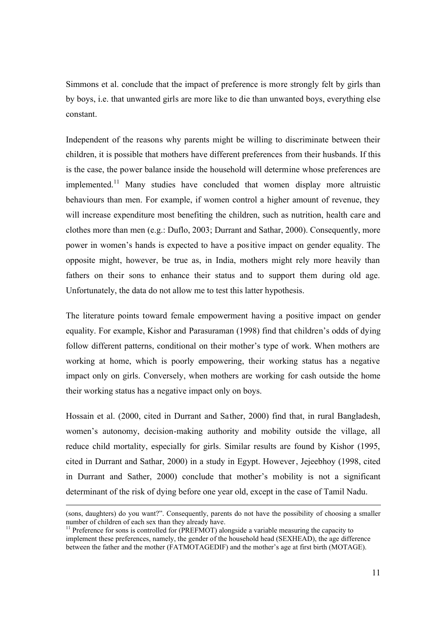Simmons et al. conclude that the impact of preference is more strongly felt by girls than by boys, i.e. that unwanted girls are more like to die than unwanted boys, everything else constant.

Independent of the reasons why parents might be willing to discriminate between their children, it is possible that mothers have different preferences from their husbands. If this is the case, the power balance inside the household will determine whose preferences are implemented.<sup>11</sup> Many studies have concluded that women display more altruistic behaviours than men. For example, if women control a higher amount of revenue, they will increase expenditure most benefiting the children, such as nutrition, health care and clothes more than men (e.g.: Duflo, 2003; Durrant and Sathar, 2000). Consequently, more power in women's hands is expected to have a positive impact on gender equality. The opposite might, however, be true as, in India, mothers might rely more heavily than fathers on their sons to enhance their status and to support them during old age. Unfortunately, the data do not allow me to test this latter hypothesis.

The literature points toward female empowerment having a positive impact on gender equality. For example, Kishor and Parasuraman (1998) find that children's odds of dying follow different patterns, conditional on their mother's type of work. When mothers are working at home, which is poorly empowering, their working status has a negative impact only on girls. Conversely, when mothers are working for cash outside the home their working status has a negative impact only on boys.

Hossain et al. (2000, cited in Durrant and Sather, 2000) find that, in rural Bangladesh, women's autonomy, decision-making authority and mobility outside the village, all reduce child mortality, especially for girls. Similar results are found by Kishor (1995, cited in Durrant and Sathar, 2000) in a study in Egypt. However, Jejeebhoy (1998, cited in Durrant and Sather, 2000) conclude that mother's mobility is not a significant determinant of the risk of dying before one year old, except in the case of Tamil Nadu.

<sup>(</sup>sons, daughters) do you want?". Consequently, parents do not have the possibility of choosing a smaller number of children of each sex than they already have.

 $11$  Preference for sons is controlled for (PREFMOT) alongside a variable measuring the capacity to implement these preferences, namely, the gender of the household head (SEXHEAD), the age difference between the father and the mother (FATMOTAGEDIF) and the mother's age at first birth (MOTAGE).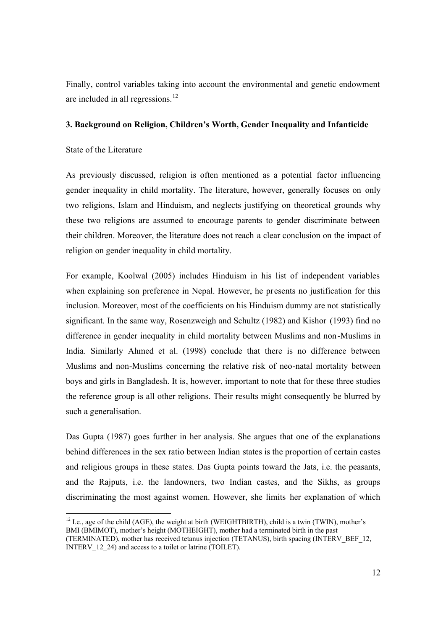Finally, control variables taking into account the environmental and genetic endowment are included in all regressions.<sup>12</sup>

### **3. Background on Religion, Children's Worth, Gender Inequality and Infanticide**

### State of the Literature

As previously discussed, religion is often mentioned as a potential factor influencing gender inequality in child mortality. The literature, however, generally focuses on only two religions, Islam and Hinduism, and neglects justifying on theoretical grounds why these two religions are assumed to encourage parents to gender discriminate between their children. Moreover, the literature does not reach a clear conclusion on the impact of religion on gender inequality in child mortality.

For example, Koolwal (2005) includes Hinduism in his list of independent variables when explaining son preference in Nepal. However, he presents no justification for this inclusion. Moreover, most of the coefficients on his Hinduism dummy are not statistically significant. In the same way, Rosenzweigh and Schultz (1982) and Kishor (1993) find no difference in gender inequality in child mortality between Muslims and non-Muslims in India. Similarly Ahmed et al. (1998) conclude that there is no difference between Muslims and non-Muslims concerning the relative risk of neo-natal mortality between boys and girls in Bangladesh. It is, however, important to note that for these three studies the reference group is all other religions. Their results might consequently be blurred by such a generalisation.

Das Gupta (1987) goes further in her analysis. She argues that one of the explanations behind differences in the sex ratio between Indian states is the proportion of certain castes and religious groups in these states. Das Gupta points toward the Jats, i.e. the peasants, and the Rajputs, i.e. the landowners, two Indian castes, and the Sikhs, as groups discriminating the most against women. However, she limits her explanation of which

l  $12$  I.e., age of the child (AGE), the weight at birth (WEIGHTBIRTH), child is a twin (TWIN), mother's BMI (BMIMOT), mother's height (MOTHEIGHT), mother had a terminated birth in the past (TERMINATED), mother has received tetanus injection (TETANUS), birth spacing (INTERV\_BEF\_12, INTERV\_12\_24) and access to a toilet or latrine (TOILET).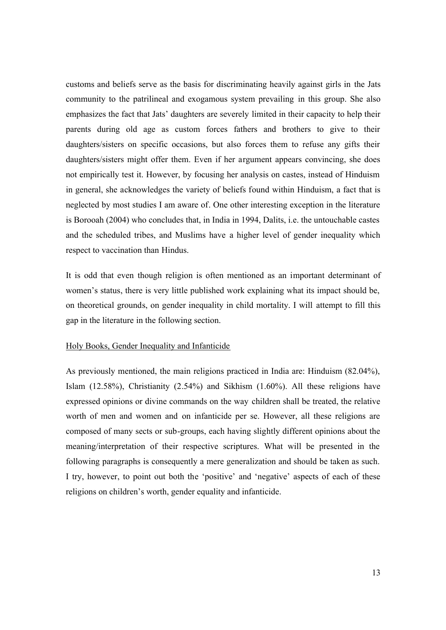customs and beliefs serve as the basis for discriminating heavily against girls in the Jats community to the patrilineal and exogamous system prevailing in this group. She also emphasizes the fact that Jats' daughters are severely limited in their capacity to help their parents during old age as custom forces fathers and brothers to give to their daughters/sisters on specific occasions, but also forces them to refuse any gifts their daughters/sisters might offer them. Even if her argument appears convincing, she does not empirically test it. However, by focusing her analysis on castes, instead of Hinduism in general, she acknowledges the variety of beliefs found within Hinduism, a fact that is neglected by most studies I am aware of. One other interesting exception in the literature is Borooah (2004) who concludes that, in India in 1994, Dalits, i.e. the untouchable castes and the scheduled tribes, and Muslims have a higher level of gender inequality which respect to vaccination than Hindus.

It is odd that even though religion is often mentioned as an important determinant of women's status, there is very little published work explaining what its impact should be, on theoretical grounds, on gender inequality in child mortality. I will attempt to fill this gap in the literature in the following section.

#### Holy Books, Gender Inequality and Infanticide

As previously mentioned, the main religions practiced in India are: Hinduism (82.04%), Islam (12.58%), Christianity (2.54%) and Sikhism (1.60%). All these religions have expressed opinions or divine commands on the way children shall be treated, the relative worth of men and women and on infanticide per se. However, all these religions are composed of many sects or sub-groups, each having slightly different opinions about the meaning/interpretation of their respective scriptures. What will be presented in the following paragraphs is consequently a mere generalization and should be taken as such. I try, however, to point out both the 'positive' and 'negative' aspects of each of these religions on children's worth, gender equality and infanticide.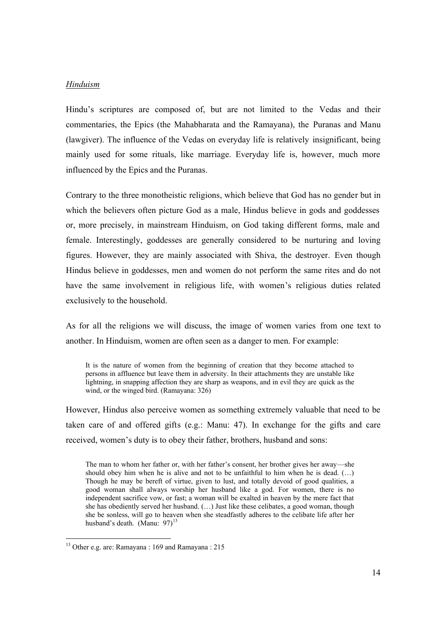### *Hinduism*

Hindu's scriptures are composed of, but are not limited to the Vedas and their commentaries, the Epics (the Mahabharata and the Ramayana), the Puranas and Manu (lawgiver). The influence of the Vedas on everyday life is relatively insignificant, being mainly used for some rituals, like marriage. Everyday life is, however, much more influenced by the Epics and the Puranas.

Contrary to the three monotheistic religions, which believe that God has no gender but in which the believers often picture God as a male, Hindus believe in gods and goddesses or, more precisely, in mainstream Hinduism, on God taking different forms, male and female. Interestingly, goddesses are generally considered to be nurturing and loving figures. However, they are mainly associated with Shiva, the destroyer. Even though Hindus believe in goddesses, men and women do not perform the same rites and do not have the same involvement in religious life, with women's religious duties related exclusively to the household.

As for all the religions we will discuss, the image of women varies from one text to another. In Hinduism, women are often seen as a danger to men. For example:

It is the nature of women from the beginning of creation that they become attached to persons in affluence but leave them in adversity. In their attachments they are unstable like lightning, in snapping affection they are sharp as weapons, and in evil they are quick as the wind, or the winged bird. (Ramayana: 326)

However, Hindus also perceive women as something extremely valuable that need to be taken care of and offered gifts (e.g.: Manu: 47). In exchange for the gifts and care received, women's duty is to obey their father, brothers, husband and sons:

The man to whom her father or, with her father's consent, her brother gives her away—she should obey him when he is alive and not to be unfaithful to him when he is dead.  $(\ldots)$ Though he may be bereft of virtue, given to lust, and totally devoid of good qualities, a good woman shall always worship her husband like a god. For women, there is no independent sacrifice vow, or fast; a woman will be exalted in heaven by the mere fact that she has obediently served her husband. (…) Just like these celibates, a good woman, though she be sonless, will go to heaven when she steadfastly adheres to the celibate life after her husband's death. (Manu: 97) $^{13}$ 

<sup>13</sup> Other e.g. are: Ramayana : 169 and Ramayana : 215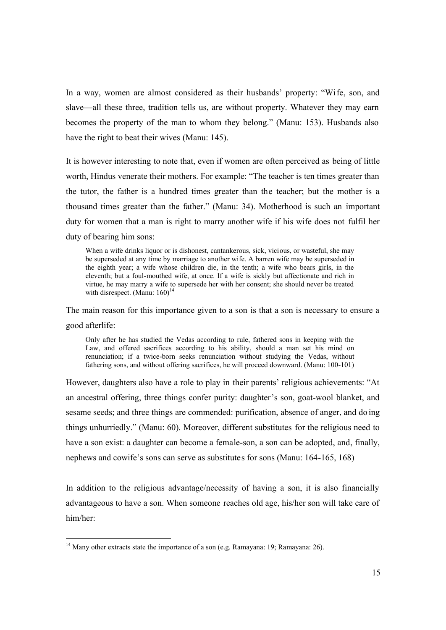In a way, women are almost considered as their husbands' property: "Wife, son, and slave—all these three, tradition tells us, are without property. Whatever they may earn becomes the property of the man to whom they belong." (Manu: 153). Husbands also have the right to beat their wives (Manu: 145).

It is however interesting to note that, even if women are often perceived as being of little worth, Hindus venerate their mothers. For example: "The teacher is ten times greater than the tutor, the father is a hundred times greater than the teacher; but the mother is a thousand times greater than the father." (Manu: 34). Motherhood is such an important duty for women that a man is right to marry another wife if his wife does not fulfil her duty of bearing him sons:

When a wife drinks liquor or is dishonest, cantankerous, sick, vicious, or wasteful, she may be superseded at any time by marriage to another wife. A barren wife may be superseded in the eighth year; a wife whose children die, in the tenth; a wife who bears girls, in the eleventh; but a foul-mouthed wife, at once. If a wife is sickly but affectionate and rich in virtue, he may marry a wife to supersede her with her consent; she should never be treated with disrespect. (Manu:  $160$ )<sup>14</sup>

The main reason for this importance given to a son is that a son is necessary to ensure a good afterlife:

Only after he has studied the Vedas according to rule, fathered sons in keeping with the Law, and offered sacrifices according to his ability, should a man set his mind on renunciation; if a twice-born seeks renunciation without studying the Vedas, without fathering sons, and without offering sacrifices, he will proceed downward. (Manu: 100-101)

However, daughters also have a role to play in their parents' religious achievements: "At an ancestral offering, three things confer purity: daughter's son, goat-wool blanket, and sesame seeds; and three things are commended: purification, absence of anger, and do ing things unhurriedly." (Manu: 60). Moreover, different substitutes for the religious need to have a son exist: a daughter can become a female-son, a son can be adopted, and, finally, nephews and cowife's sons can serve as substitutes for sons (Manu: 164-165, 168)

In addition to the religious advantage/necessity of having a son, it is also financially advantageous to have a son. When someone reaches old age, his/her son will take care of him/her:

<sup>&</sup>lt;sup>14</sup> Many other extracts state the importance of a son (e.g. Ramayana: 19; Ramayana: 26).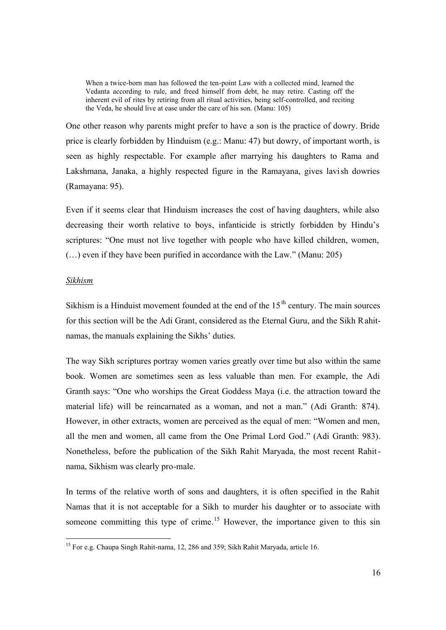When a twice-born man has followed the ten-point Law with a collected mind, learned the Vedanta according to rule, and freed himself from debt, he may retire. Casting off the inherent evil of rites by retiring from all ritual activities, being self-controlled, and reciting the Veda, he should live at ease under the care of his son. (Manu: 105)

One other reason why parents might prefer to have a son is the practice of dowry. Bride price is clearly forbidden by Hinduism (e.g.: Manu: 47) but dowry, of important worth, is seen as highly respectable. For example after marrying his daughters to Rama and Lakshmana, Janaka, a highly respected figure in the Ramayana, gives lavish dowries (Ramayana: 95).

Even if it seems clear that Hinduism increases the cost of having daughters, while also decreasing their worth relative to boys, infanticide is strictly forbidden by Hindu's scriptures: "One must not live together with people who have killed children, women, (…) even if they have been purified in accordance with the Law." (Manu: 205)

### *Sikhism*

Sikhism is a Hinduist movement founded at the end of the  $15<sup>th</sup>$  century. The main sources for this section will be the Adi Grant, considered as the Eternal Guru, and the Sikh Rahitnamas, the manuals explaining the Sikhs' duties.

The way Sikh scriptures portray women varies greatly over time but also within the same book. Women are sometimes seen as less valuable than men. For example, the Adi Granth says: "One who worships the Great Goddess Maya (i.e. the attraction toward the material life) will be reincarnated as a woman, and not a man." (Adi Granth: 874). However, in other extracts, women are perceived as the equal of men: "Women and men, all the men and women, all came from the One Primal Lord God." (Adi Granth: 983). Nonetheless, before the publication of the Sikh Rahit Maryada, the most recent Rahitnama, Sikhism was clearly pro-male.

In terms of the relative worth of sons and daughters, it is often specified in the Rahit Namas that it is not acceptable for a Sikh to murder his daughter or to associate with someone committing this type of crime.<sup>15</sup> However, the importance given to this sin

<sup>&</sup>lt;sup>15</sup> For e.g. Chaupa Singh Rahit-nama, 12, 286 and 359; Sikh Rahit Maryada, article 16.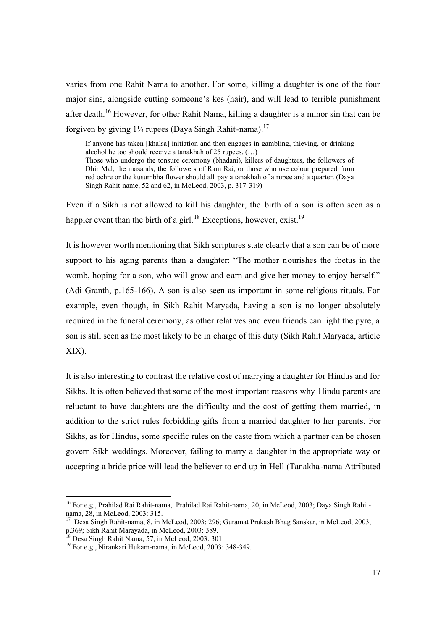varies from one Rahit Nama to another. For some, killing a daughter is one of the four major sins, alongside cutting someone's kes (hair), and will lead to terrible punishment after death.<sup>16</sup> However, for other Rahit Nama, killing a daughter is a minor sin that can be forgiven by giving  $1\frac{1}{4}$  rupees (Daya Singh Rahit-nama).<sup>17</sup>

If anyone has taken [khalsa] initiation and then engages in gambling, thieving, or drinking alcohol he too should receive a tanakhah of 25 rupees. (…) Those who undergo the tonsure ceremony (bhadani), killers of daughters, the followers of Dhir Mal, the masands, the followers of Ram Rai, or those who use colour prepared from red ochre or the kusumbha flower should all pay a tanakhah of a rupee and a quarter. (Daya Singh Rahit-name, 52 and 62, in McLeod, 2003, p. 317-319)

Even if a Sikh is not allowed to kill his daughter, the birth of a son is often seen as a happier event than the birth of a girl.<sup>18</sup> Exceptions, however, exist.<sup>19</sup>

It is however worth mentioning that Sikh scriptures state clearly that a son can be of more support to his aging parents than a daughter: "The mother nourishes the foetus in the womb, hoping for a son, who will grow and earn and give her money to enjoy herself." (Adi Granth, p.165-166). A son is also seen as important in some religious rituals. For example, even though, in Sikh Rahit Maryada, having a son is no longer absolutely required in the funeral ceremony, as other relatives and even friends can light the pyre, a son is still seen as the most likely to be in charge of this duty (Sikh Rahit Maryada, article XIX).

It is also interesting to contrast the relative cost of marrying a daughter for Hindus and for Sikhs. It is often believed that some of the most important reasons why Hindu parents are reluctant to have daughters are the difficulty and the cost of getting them married, in addition to the strict rules forbidding gifts from a married daughter to her parents. For Sikhs, as for Hindus, some specific rules on the caste from which a partner can be chosen govern Sikh weddings. Moreover, failing to marry a daughter in the appropriate way or accepting a bride price will lead the believer to end up in Hell (Tanakha -nama Attributed

<sup>&</sup>lt;sup>16</sup> For e.g., Prahilad Rai Rahit-nama, Prahilad Rai Rahit-nama, 20, in McLeod, 2003; Daya Singh Rahitnama, 28, in McLeod, 2003: 315.

<sup>17</sup> Desa Singh Rahit-nama, 8, in McLeod, 2003: 296; Guramat Prakash Bhag Sanskar, in McLeod, 2003, p.369; Sikh Rahit Marayada, in McLeod, 2003: 296.<br><sup>18</sup> Deep Single Did is N

 $8$  Desa Singh Rahit Nama, 57, in McLeod, 2003: 301.

<sup>19</sup> For e.g., Nirankari Hukam-nama, in McLeod, 2003: 348-349.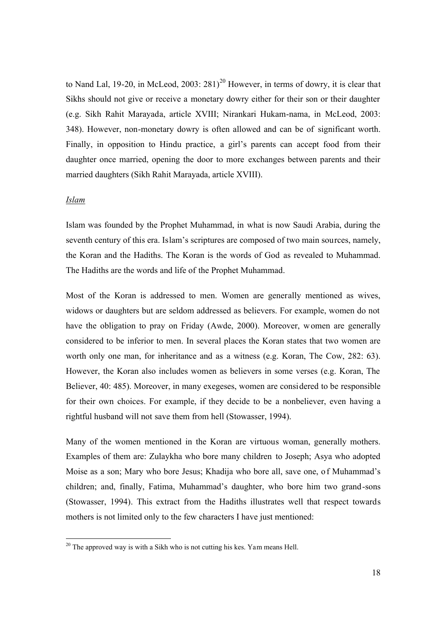to Nand Lal, 19-20, in McLeod, 2003:  $281$ <sup>20</sup> However, in terms of dowry, it is clear that Sikhs should not give or receive a monetary dowry either for their son or their daughter (e.g. Sikh Rahit Marayada, article XVIII; Nirankari Hukam-nama, in McLeod, 2003: 348). However, non-monetary dowry is often allowed and can be of significant worth. Finally, in opposition to Hindu practice, a girl's parents can accept food from their daughter once married, opening the door to more exchanges between parents and their married daughters (Sikh Rahit Marayada, article XVIII).

### *Islam*

Islam was founded by the Prophet Muhammad, in what is now Saudi Arabia, during the seventh century of this era. Islam's scriptures are composed of two main sources, namely, the Koran and the Hadiths. The Koran is the words of God as revealed to Muhammad. The Hadiths are the words and life of the Prophet Muhammad.

Most of the Koran is addressed to men. Women are generally mentioned as wives, widows or daughters but are seldom addressed as believers. For example, women do not have the obligation to pray on Friday (Awde, 2000). Moreover, women are generally considered to be inferior to men. In several places the Koran states that two women are worth only one man, for inheritance and as a witness (e.g. Koran, The Cow, 282: 63). However, the Koran also includes women as believers in some verses (e.g. Koran, The Believer, 40: 485). Moreover, in many exegeses, women are considered to be responsible for their own choices. For example, if they decide to be a nonbeliever, even having a rightful husband will not save them from hell (Stowasser, 1994).

Many of the women mentioned in the Koran are virtuous woman, generally mothers. Examples of them are: Zulaykha who bore many children to Joseph; Asya who adopted Moise as a son; Mary who bore Jesus; Khadija who bore all, save one, of Muhammad's children; and, finally, Fatima, Muhammad's daughter, who bore him two grand-sons (Stowasser, 1994). This extract from the Hadiths illustrates well that respect towards mothers is not limited only to the few characters I have just mentioned:

 $20$  The approved way is with a Sikh who is not cutting his kes. Yam means Hell.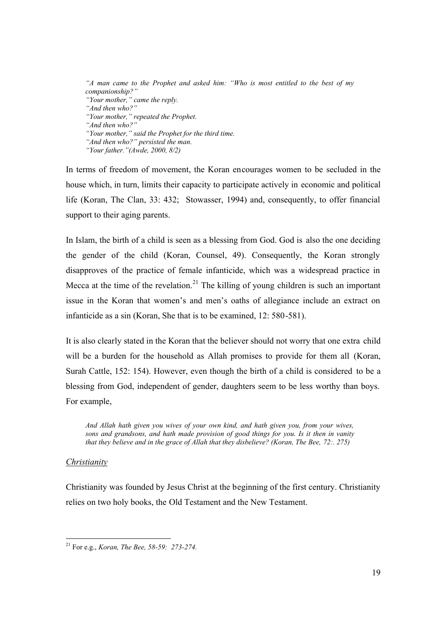*"A man came to the Prophet and asked him: "Who is most entitled to the best of my companionship?" "Your mother," came the reply. "And then who?" "Your mother," repeated the Prophet. "And then who?" "Your mother," said the Prophet for the third time. "And then who?" persisted the man. "Your father."(Awde, 2000, 8/2)*

In terms of freedom of movement, the Koran encourages women to be secluded in the house which, in turn, limits their capacity to participate actively in economic and political life (Koran, The Clan, 33: 432; Stowasser, 1994) and, consequently, to offer financial support to their aging parents.

In Islam, the birth of a child is seen as a blessing from God. God is also the one deciding the gender of the child (Koran, Counsel, 49). Consequently, the Koran strongly disapproves of the practice of female infanticide, which was a widespread practice in Mecca at the time of the revelation.<sup>21</sup> The killing of young children is such an important issue in the Koran that women's and men's oaths of allegiance include an extract on infanticide as a sin (Koran, She that is to be examined, 12: 580-581).

It is also clearly stated in the Koran that the believer should not worry that one extra child will be a burden for the household as Allah promises to provide for them all (Koran, Surah Cattle, 152: 154). However, even though the birth of a child is considered to be a blessing from God, independent of gender, daughters seem to be less worthy than boys. For example,

*And Allah hath given you wives of your own kind, and hath given you, from your wives, sons and grandsons, and hath made provision of good things for you. Is it then in vanity that they believe and in the grace of Allah that they disbelieve? (Koran, The Bee, 72:. 275)*

## *Christianity*

Christianity was founded by Jesus Christ at the beginning of the first century. Christianity relies on two holy books, the Old Testament and the New Testament.

<sup>21</sup> For e.g., *Koran, The Bee, 58-59: 273-274.*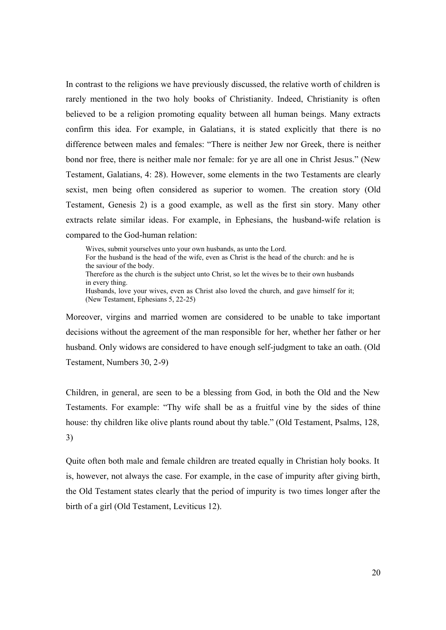In contrast to the religions we have previously discussed, the relative worth of children is rarely mentioned in the two holy books of Christianity. Indeed, Christianity is often believed to be a religion promoting equality between all human beings. Many extracts confirm this idea. For example, in Galatians, it is stated explicitly that there is no difference between males and females: "There is neither Jew nor Greek, there is neither bond nor free, there is neither male nor female: for ye are all one in Christ Jesus." (New Testament, Galatians, 4: 28). However, some elements in the two Testaments are clearly sexist, men being often considered as superior to women. The creation story (Old Testament, Genesis 2) is a good example, as well as the first sin story. Many other extracts relate similar ideas. For example, in Ephesians, the husband-wife relation is compared to the God-human relation:

Wives, submit yourselves unto your own husbands, as unto the Lord. For the husband is the head of the wife, even as Christ is the head of the church: and he is the saviour of the body. Therefore as the church is the subject unto Christ, so let the wives be to their own husbands in every thing. Husbands, love your wives, even as Christ also loved the church, and gave himself for it; (New Testament, Ephesians 5, 22-25)

Moreover, virgins and married women are considered to be unable to take important decisions without the agreement of the man responsible for her, whether her father or her husband. Only widows are considered to have enough self-judgment to take an oath. (Old Testament, Numbers 30, 2-9)

Children, in general, are seen to be a blessing from God, in both the Old and the New Testaments. For example: "Thy wife shall be as a fruitful vine by the sides of thine house: thy children like olive plants round about thy table." (Old Testament, Psalms, 128, 3)

Quite often both male and female children are treated equally in Christian holy books. It is, however, not always the case. For example, in the case of impurity after giving birth, the Old Testament states clearly that the period of impurity is two times longer after the birth of a girl (Old Testament, Leviticus 12).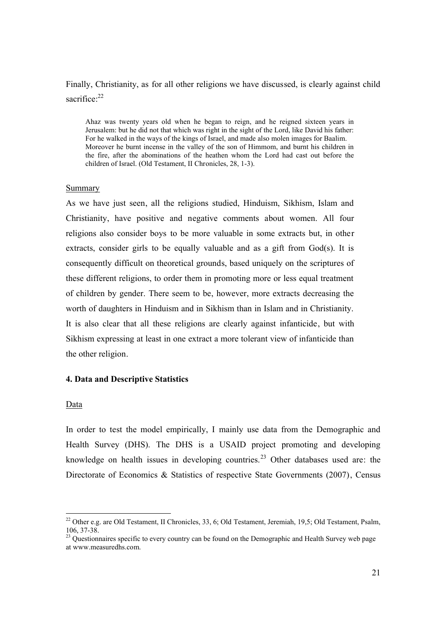# Finally, Christianity, as for all other religions we have discussed, is clearly against child sacrifice:<sup>22</sup>

Ahaz was twenty years old when he began to reign, and he reigned sixteen years in Jerusalem: but he did not that which was right in the sight of the Lord, like David his father: For he walked in the ways of the kings of Israel, and made also molen images for Baalim. Moreover he burnt incense in the valley of the son of Himmom, and burnt his children in the fire, after the abominations of the heathen whom the Lord had cast out before the children of Israel. (Old Testament, II Chronicles, 28, 1-3).

#### Summary

As we have just seen, all the religions studied, Hinduism, Sikhism, Islam and Christianity, have positive and negative comments about women. All four religions also consider boys to be more valuable in some extracts but, in other extracts, consider girls to be equally valuable and as a gift from God(s). It is consequently difficult on theoretical grounds, based uniquely on the scriptures of these different religions, to order them in promoting more or less equal treatment of children by gender. There seem to be, however, more extracts decreasing the worth of daughters in Hinduism and in Sikhism than in Islam and in Christianity. It is also clear that all these religions are clearly against infanticide, but with Sikhism expressing at least in one extract a more tolerant view of infanticide than the other religion.

### **4. Data and Descriptive Statistics**

#### Data

l

In order to test the model empirically, I mainly use data from the Demographic and Health Survey (DHS). The DHS is a USAID project promoting and developing knowledge on health issues in developing countries.<sup>23</sup> Other databases used are: the Directorate of Economics & Statistics of respective State Governments (2007), Census

 $22$  Other e.g. are Old Testament, II Chronicles, 33, 6; Old Testament, Jeremiah, 19,5; Old Testament, Psalm, 106, 37-38.

<sup>&</sup>lt;sup>23</sup> Questionnaires specific to every country can be found on the Demographic and Health Survey web page at www.measuredhs.com.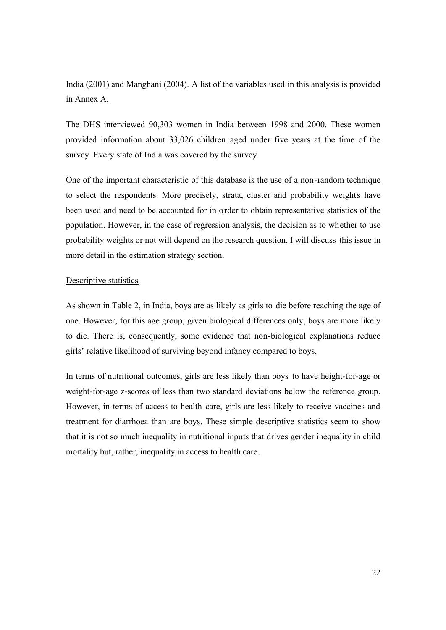India (2001) and Manghani (2004). A list of the variables used in this analysis is provided in Annex A.

The DHS interviewed 90,303 women in India between 1998 and 2000. These women provided information about 33,026 children aged under five years at the time of the survey. Every state of India was covered by the survey.

One of the important characteristic of this database is the use of a non-random technique to select the respondents. More precisely, strata, cluster and probability weights have been used and need to be accounted for in order to obtain representative statistics of the population. However, in the case of regression analysis, the decision as to whether to use probability weights or not will depend on the research question. I will discuss this issue in more detail in the estimation strategy section.

## Descriptive statistics

As shown in Table 2, in India, boys are as likely as girls to die before reaching the age of one. However, for this age group, given biological differences only, boys are more likely to die. There is, consequently, some evidence that non-biological explanations reduce girls' relative likelihood of surviving beyond infancy compared to boys.

In terms of nutritional outcomes, girls are less likely than boys to have height-for-age or weight-for-age z-scores of less than two standard deviations below the reference group. However, in terms of access to health care, girls are less likely to receive vaccines and treatment for diarrhoea than are boys. These simple descriptive statistics seem to show that it is not so much inequality in nutritional inputs that drives gender inequality in child mortality but, rather, inequality in access to health care.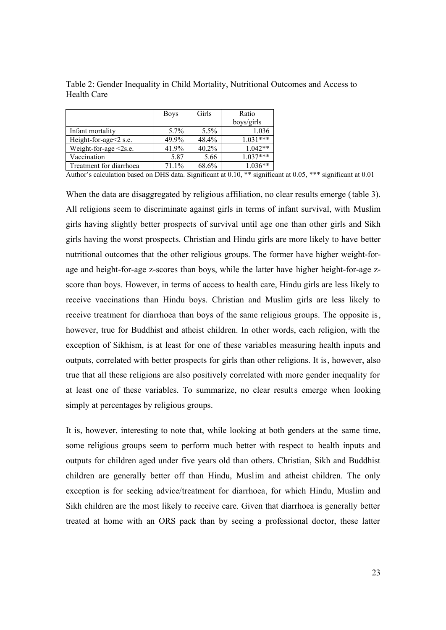|                             | <b>Boys</b> | Girls    | Ratio      |
|-----------------------------|-------------|----------|------------|
|                             |             |          | boys/girls |
| Infant mortality            | $5.7\%$     | $5.5\%$  | 1.036      |
| Height-for-age<2 s.e.       | 49.9%       | 48.4%    | $1.031***$ |
| Weight-for-age $\leq$ 2s.e. | 41.9%       | $40.2\%$ | $1.042**$  |
| Vaccination                 | 5.87        | 5.66     | $1.037***$ |
| Treatment for diarrhoea     | 71.1%       | 68.6%    | $1.036**$  |

Table 2: Gender Inequality in Child Mortality, Nutritional Outcomes and Access to Health Care

Author's calculation based on DHS data. Significant at 0.10, \*\* significant at 0.05, \*\*\* significant at 0.01

When the data are disaggregated by religious affiliation, no clear results emerge (table 3). All religions seem to discriminate against girls in terms of infant survival, with Muslim girls having slightly better prospects of survival until age one than other girls and Sikh girls having the worst prospects. Christian and Hindu girls are more likely to have better nutritional outcomes that the other religious groups. The former have higher weight-forage and height-for-age z-scores than boys, while the latter have higher height-for-age zscore than boys. However, in terms of access to health care, Hindu girls are less likely to receive vaccinations than Hindu boys. Christian and Muslim girls are less likely to receive treatment for diarrhoea than boys of the same religious groups. The opposite is, however, true for Buddhist and atheist children. In other words, each religion, with the exception of Sikhism, is at least for one of these variables measuring health inputs and outputs, correlated with better prospects for girls than other religions. It is, however, also true that all these religions are also positively correlated with more gender inequality for at least one of these variables. To summarize, no clear results emerge when looking simply at percentages by religious groups.

It is, however, interesting to note that, while looking at both genders at the same time, some religious groups seem to perform much better with respect to health inputs and outputs for children aged under five years old than others. Christian, Sikh and Buddhist children are generally better off than Hindu, Muslim and atheist children. The only exception is for seeking advice/treatment for diarrhoea, for which Hindu, Muslim and Sikh children are the most likely to receive care. Given that diarrhoea is generally better treated at home with an ORS pack than by seeing a professional doctor, these latter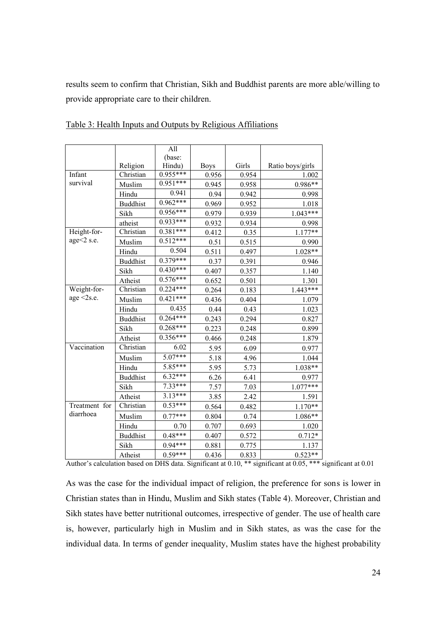results seem to confirm that Christian, Sikh and Buddhist parents are more able/willing to provide appropriate care to their children.

|               |                 | All                  |             |       |                  |
|---------------|-----------------|----------------------|-------------|-------|------------------|
|               |                 | (base:               |             |       |                  |
|               | Religion        | Hindu)               | <b>Boys</b> | Girls | Ratio boys/girls |
| Infant        | Christian       | $0.955***$           | 0.956       | 0.954 | 1.002            |
| survival      | Muslim          | $0.951***$           | 0.945       | 0.958 | 0.986**          |
|               | Hindu           | 0.941                | 0.94        | 0.942 | 0.998            |
|               | <b>Buddhist</b> | $0.962***$           | 0.969       | 0.952 | 1.018            |
|               | Sikh            | $0.956***$           | 0.979       | 0.939 | $1.043***$       |
|               | atheist         | 0.933***             | 0.932       | 0.934 | 0.998            |
| Height-for-   | Christian       | $0.381***$           | 0.412       | 0.35  | $1.177**$        |
| age<2 s.e.    | Muslim          | $0.512***$           | 0.51        | 0.515 | 0.990            |
|               | Hindu           | 0.504                | 0.511       | 0.497 | 1.028**          |
|               | <b>Buddhist</b> | $0.379***$           | 0.37        | 0.391 | 0.946            |
|               | Sikh            | $0.430***$           | 0.407       | 0.357 | 1.140            |
|               | Atheist         | $0.576***$           | 0.652       | 0.501 | 1.301            |
| Weight-for-   | Christian       | $0.224***$           | 0.264       | 0.183 | $1.443***$       |
| age $<$ 2s.e. | Muslim          | $0.421***$           | 0.436       | 0.404 | 1.079            |
|               | Hindu           | 0.435                | 0.44        | 0.43  | 1.023            |
|               | <b>Buddhist</b> | $0.264***$           | 0.243       | 0.294 | 0.827            |
|               | Sikh            | $0.268***$           | 0.223       | 0.248 | 0.899            |
|               | Atheist         | $0.356***$           | 0.466       | 0.248 | 1.879            |
| Vaccination   | Christian       | 6.02                 | 5.95        | 6.09  | 0.977            |
|               | Muslim          | $5.07***$            | 5.18        | 4.96  | 1.044            |
|               | Hindu           | $5.\overline{85***}$ | 5.95        | 5.73  | 1.038**          |
|               | <b>Buddhist</b> | $6.32***$            | 6.26        | 6.41  | 0.977            |
|               | Sikh            | $7.33***$            | 7.57        | 7.03  | $1.077***$       |
|               | Atheist         | $3.13***$            | 3.85        | 2.42  | 1.591            |
| Treatment for | Christian       | $0.53***$            | 0.564       | 0.482 | $1.170**$        |
| diarrhoea     | Muslim          | $0.77***$            | 0.804       | 0.74  | 1.086**          |
|               | Hindu           | 0.70                 | 0.707       | 0.693 | 1.020            |
|               | <b>Buddhist</b> | $0.48***$            | 0.407       | 0.572 | $0.712*$         |
|               | Sikh            | $0.94***$            | 0.881       | 0.775 | 1.137            |
|               | Atheist         | $0.59***$            | 0.436       | 0.833 | $0.523**$        |

Table 3: Health Inputs and Outputs by Religious Affiliations

Author's calculation based on DHS data. Significant at 0.10, \*\* significant at 0.05, \*\*\* significant at 0.01

As was the case for the individual impact of religion, the preference for sons is lower in Christian states than in Hindu, Muslim and Sikh states (Table 4). Moreover, Christian and Sikh states have better nutritional outcomes, irrespective of gender. The use of health care is, however, particularly high in Muslim and in Sikh states, as was the case for the individual data. In terms of gender inequality, Muslim states have the highest probability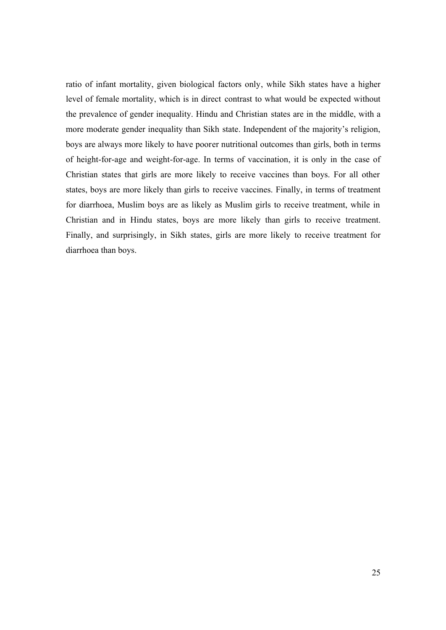ratio of infant mortality, given biological factors only, while Sikh states have a higher level of female mortality, which is in direct contrast to what would be expected without the prevalence of gender inequality. Hindu and Christian states are in the middle, with a more moderate gender inequality than Sikh state. Independent of the majority's religion, boys are always more likely to have poorer nutritional outcomes than girls, both in terms of height-for-age and weight-for-age. In terms of vaccination, it is only in the case of Christian states that girls are more likely to receive vaccines than boys. For all other states, boys are more likely than girls to receive vaccines. Finally, in terms of treatment for diarrhoea, Muslim boys are as likely as Muslim girls to receive treatment, while in Christian and in Hindu states, boys are more likely than girls to receive treatment. Finally, and surprisingly, in Sikh states, girls are more likely to receive treatment for diarrhoea than boys.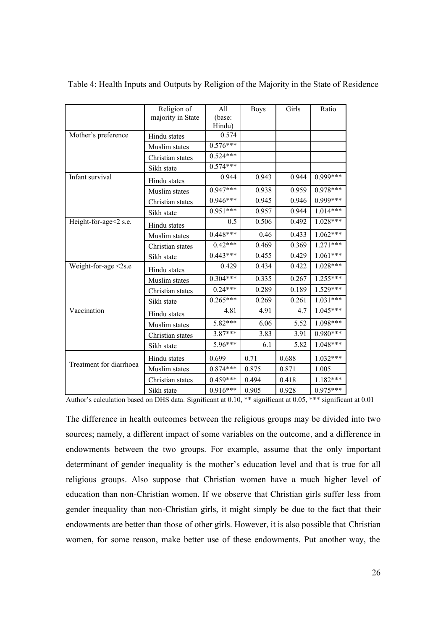|                         | Religion of<br>majority in State | A11<br>(base:<br>Hindu) | <b>Boys</b> | Girls | Ratio      |
|-------------------------|----------------------------------|-------------------------|-------------|-------|------------|
| Mother's preference     | Hindu states                     | 0.574                   |             |       |            |
|                         | Muslim states                    | $0.576***$              |             |       |            |
|                         | Christian states                 | $0.524***$              |             |       |            |
|                         | Sikh state                       | $0.574***$              |             |       |            |
| Infant survival         | Hindu states                     | 0.944                   | 0.943       | 0.944 | $0.999***$ |
|                         | Muslim states                    | $0.947***$              | 0.938       | 0.959 | $0.978***$ |
|                         | Christian states                 | $0.946***$              | 0.945       | 0.946 | $0.999***$ |
|                         | Sikh state                       | $0.951***$              | 0.957       | 0.944 | $1.014***$ |
| Height-for-age<2 s.e.   | Hindu states                     | 0.5                     | 0.506       | 0.492 | $1.028***$ |
|                         | Muslim states                    | $0.448***$              | 0.46        | 0.433 | $1.062***$ |
|                         | Christian states                 | $0.42***$               | 0.469       | 0.369 | $1.271***$ |
|                         | Sikh state                       | $0.443***$              | 0.455       | 0.429 | $1.061***$ |
| Weight-for-age <2s.e    | Hindu states                     | 0.429                   | 0.434       | 0.422 | $1.028***$ |
|                         | Muslim states                    | $0.304***$              | 0.335       | 0.267 | $1.255***$ |
|                         | Christian states                 | $0.24***$               | 0.289       | 0.189 | $1.529***$ |
|                         | Sikh state                       | $0.265***$              | 0.269       | 0.261 | $1.031***$ |
| Vaccination             | Hindu states                     | 4.81                    | 4.91        | 4.7   | $1.045***$ |
|                         | Muslim states                    | $5.82***$               | 6.06        | 5.52  | $1.098***$ |
|                         | Christian states                 | $3.87***$               | 3.83        | 3.91  | $0.980***$ |
|                         | Sikh state                       | 5.96***                 | 6.1         | 5.82  | $1.048***$ |
|                         | Hindu states                     | 0.699                   | 0.71        | 0.688 | 1.032***   |
| Treatment for diarrhoea | Muslim states                    | $0.874***$              | 0.875       | 0.871 | 1.005      |
|                         | Christian states                 | $0.459***$              | 0.494       | 0.418 | $1.182***$ |
|                         | Sikh state                       | $0.916***$              | 0.905       | 0.928 | 0.975***   |

Table 4: Health Inputs and Outputs by Religion of the Majority in the State of Residence

Author's calculation based on DHS data. Significant at 0.10, \*\* significant at 0.05, \*\*\* significant at 0.01

The difference in health outcomes between the religious groups may be divided into two sources; namely, a different impact of some variables on the outcome, and a difference in endowments between the two groups. For example, assume that the only important determinant of gender inequality is the mother's education level and that is true for all religious groups. Also suppose that Christian women have a much higher level of education than non-Christian women. If we observe that Christian girls suffer less from gender inequality than non-Christian girls, it might simply be due to the fact that their endowments are better than those of other girls. However, it is also possible that Christian women, for some reason, make better use of these endowments. Put another way, the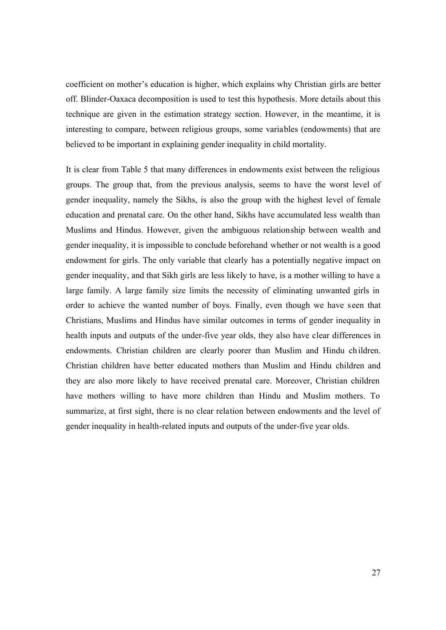coefficient on mother's education is higher, which explains why Christian girls are better off. Blinder-Oaxaca decomposition is used to test this hypothesis. More details about this technique are given in the estimation strategy section. However, in the meantime, it is interesting to compare, between religious groups, some variables (endowments) that are believed to be important in explaining gender inequality in child mortality.

It is clear from Table 5 that many differences in endowments exist between the religious groups. The group that, from the previous analysis, seems to have the worst level of gender inequality, namely the Sikhs, is also the group with the highest level of female education and prenatal care. On the other hand, Sikhs have accumulated less wealth than Muslims and Hindus. However, given the ambiguous relationship between wealth and gender inequality, it is impossible to conclude beforehand whether or not wealth is a good endowment for girls. The only variable that clearly has a potentially negative impact on gender inequality, and that Sikh girls are less likely to have, is a mother willing to have a large family. A large family size limits the necessity of eliminating unwanted girls in order to achieve the wanted number of boys. Finally, even though we have seen that Christians, Muslims and Hindus have similar outcomes in terms of gender inequality in health inputs and outputs of the under-five year olds, they also have clear differences in endowments. Christian children are clearly poorer than Muslim and Hindu ch ildren. Christian children have better educated mothers than Muslim and Hindu children and they are also more likely to have received prenatal care. Moreover, Christian children have mothers willing to have more children than Hindu and Muslim mothers. To summarize, at first sight, there is no clear relation between endowments and the level of gender inequality in health-related inputs and outputs of the under-five year olds.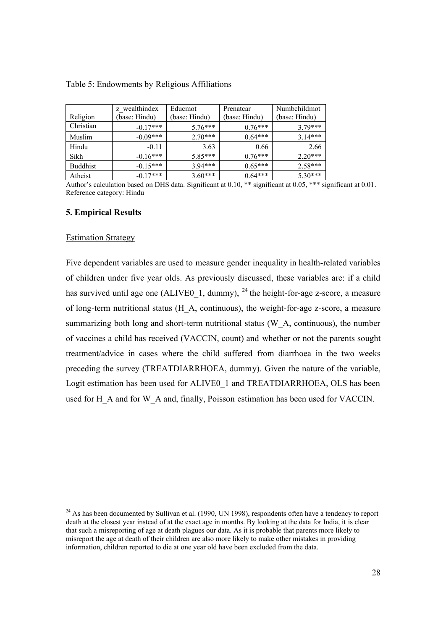|                 | z wealthindex | Educmot       | Prenatcar     | Numbchildmot  |
|-----------------|---------------|---------------|---------------|---------------|
| Religion        | (base: Hindu) | (base: Hindu) | (base: Hindu) | (base: Hindu) |
| Christian       | $-0.17***$    | $5.76***$     | $0.76***$     | $3.79***$     |
| Muslim          | $-0.09***$    | $2.70***$     | $0.64***$     | $314***$      |
| Hindu           | $-0.11$       | 3.63          | 0.66          | 2.66          |
| Sikh            | $-0.16***$    | $5.85***$     | $0.76***$     | $2.20***$     |
| <b>Buddhist</b> | $-0.15***$    | $3.94***$     | $0.65***$     | $2.58***$     |
| Atheist         | $-0.17***$    | $3.60***$     | $0.64***$     | $5.30***$     |

# Table 5: Endowments by Religious Affiliations

Author's calculation based on DHS data. Significant at 0.10, \*\* significant at 0.05, \*\*\* significant at 0.01. Reference category: Hindu

### **5. Empirical Results**

### Estimation Strategy

Five dependent variables are used to measure gender inequality in health-related variables of children under five year olds. As previously discussed, these variables are: if a child has survived until age one (ALIVE0\_1, dummy),  $^{24}$  the height-for-age z-score, a measure of long-term nutritional status (H\_A, continuous), the weight-for-age z-score, a measure summarizing both long and short-term nutritional status (W\_A, continuous), the number of vaccines a child has received (VACCIN, count) and whether or not the parents sought treatment/advice in cases where the child suffered from diarrhoea in the two weeks preceding the survey (TREATDIARRHOEA, dummy). Given the nature of the variable, Logit estimation has been used for ALIVE0\_1 and TREATDIARRHOEA, OLS has been used for H\_A and for W\_A and, finally, Poisson estimation has been used for VACCIN.

 $^{24}$  As has been documented by Sullivan et al. (1990, UN 1998), respondents often have a tendency to report death at the closest year instead of at the exact age in months. By looking at the data for India, it is clear that such a misreporting of age at death plagues our data. As it is probable that parents more likely to misreport the age at death of their children are also more likely to make other mistakes in providing information, children reported to die at one year old have been excluded from the data.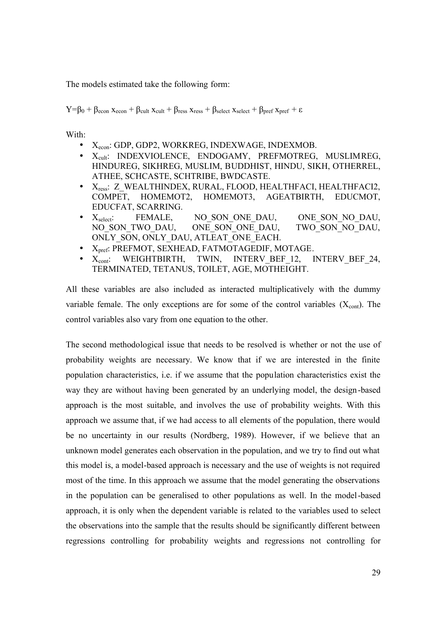The models estimated take the following form:

 $Y=\beta_0 + \beta_{\text{econ}} x_{\text{econ}} + \beta_{\text{cult}} x_{\text{cult}} + \beta_{\text{ress}} x_{\text{ress}} + \beta_{\text{select}} x_{\text{select}} + \beta_{\text{pref}} x_{\text{pref}} + \varepsilon$ 

With:

- Xecon: GDP, GDP2, WORKREG, INDEXWAGE, INDEXMOB.
- X<sub>cult</sub>: INDEXVIOLENCE, ENDOGAMY, PREFMOTREG, MUSLIMREG, HINDUREG, SIKHREG, MUSLIM, BUDDHIST, HINDU, SIKH, OTHERREL, ATHEE, SCHCASTE, SCHTRIBE, BWDCASTE.
- X<sub>ress</sub>: Z\_WEALTHINDEX, RURAL, FLOOD, HEALTHFACI, HEALTHFACI2, COMPET, HOMEMOT2, HOMEMOT3, AGEATBIRTH, EDUCMOT, EDUCFAT, SCARRING.
- Xselect: FEMALE, NO SON ONE DAU, ONE SON NO DAU, NO\_SON\_TWO\_DAU, \_\_\_ ONE\_SON\_ONE\_DAU, TWO\_SON\_NO\_DAU, ONLY SON, ONLY DAU, ATLEAT ONE EACH.
- X<sub>pref</sub>: PREFMOT, SEXHEAD, FATMOTAGEDIF, MOTAGE.
- X<sub>cont</sub>: WEIGHTBIRTH, TWIN, INTERV BEF 12, INTERV BEF 24, TERMINATED, TETANUS, TOILET, AGE, MOTHEIGHT.

All these variables are also included as interacted multiplicatively with the dummy variable female. The only exceptions are for some of the control variables  $(X_{cont})$ . The control variables also vary from one equation to the other.

The second methodological issue that needs to be resolved is whether or not the use of probability weights are necessary. We know that if we are interested in the finite population characteristics, i.e. if we assume that the population characteristics exist the way they are without having been generated by an underlying model, the design-based approach is the most suitable, and involves the use of probability weights. With this approach we assume that, if we had access to all elements of the population, there would be no uncertainty in our results (Nordberg, 1989). However, if we believe that an unknown model generates each observation in the population, and we try to find out what this model is, a model-based approach is necessary and the use of weights is not required most of the time. In this approach we assume that the model generating the observations in the population can be generalised to other populations as well. In the model-based approach, it is only when the dependent variable is related to the variables used to select the observations into the sample that the results should be significantly different between regressions controlling for probability weights and regressions not controlling for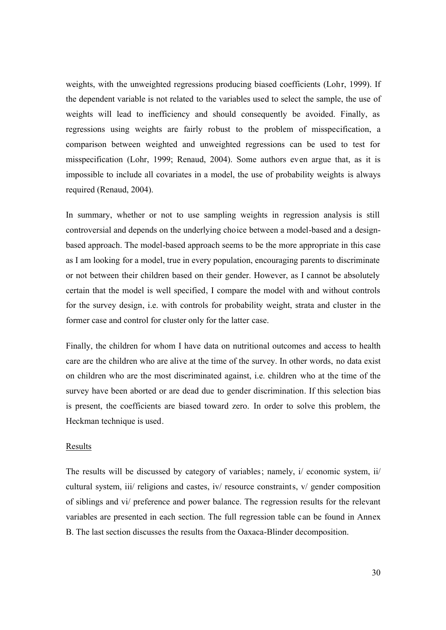weights, with the unweighted regressions producing biased coefficients (Lohr, 1999). If the dependent variable is not related to the variables used to select the sample, the use of weights will lead to inefficiency and should consequently be avoided. Finally, as regressions using weights are fairly robust to the problem of misspecification, a comparison between weighted and unweighted regressions can be used to test for misspecification (Lohr, 1999; Renaud, 2004). Some authors even argue that, as it is impossible to include all covariates in a model, the use of probability weights is always required (Renaud, 2004).

In summary, whether or not to use sampling weights in regression analysis is still controversial and depends on the underlying choice between a model-based and a designbased approach. The model-based approach seems to be the more appropriate in this case as I am looking for a model, true in every population, encouraging parents to discriminate or not between their children based on their gender. However, as I cannot be absolutely certain that the model is well specified, I compare the model with and without controls for the survey design, i.e. with controls for probability weight, strata and cluster in the former case and control for cluster only for the latter case.

Finally, the children for whom I have data on nutritional outcomes and access to health care are the children who are alive at the time of the survey. In other words, no data exist on children who are the most discriminated against, i.e. children who at the time of the survey have been aborted or are dead due to gender discrimination. If this selection bias is present, the coefficients are biased toward zero. In order to solve this problem, the Heckman technique is used.

#### Results

The results will be discussed by category of variables; namely, i/ economic system, ii/ cultural system, iii/ religions and castes, iv/ resource constraints, v/ gender composition of siblings and vi/ preference and power balance. The regression results for the relevant variables are presented in each section. The full regression table can be found in Annex B. The last section discusses the results from the Oaxaca-Blinder decomposition.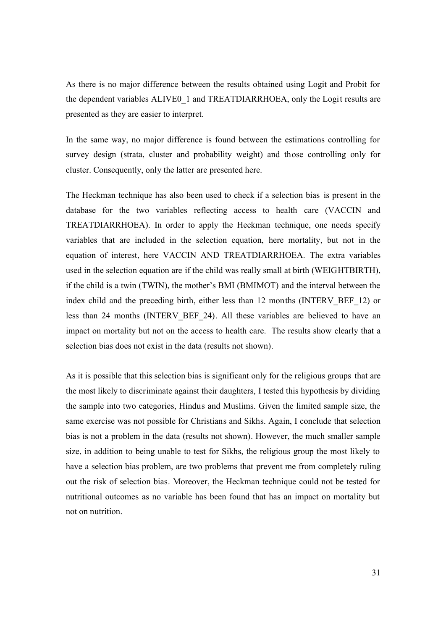As there is no major difference between the results obtained using Logit and Probit for the dependent variables ALIVE0\_1 and TREATDIARRHOEA, only the Logit results are presented as they are easier to interpret.

In the same way, no major difference is found between the estimations controlling for survey design (strata, cluster and probability weight) and those controlling only for cluster. Consequently, only the latter are presented here.

The Heckman technique has also been used to check if a selection bias is present in the database for the two variables reflecting access to health care (VACCIN and TREATDIARRHOEA). In order to apply the Heckman technique, one needs specify variables that are included in the selection equation, here mortality, but not in the equation of interest, here VACCIN AND TREATDIARRHOEA. The extra variables used in the selection equation are if the child was really small at birth (WEIGHTBIRTH), if the child is a twin (TWIN), the mother's BMI (BMIMOT) and the interval between the index child and the preceding birth, either less than 12 months (INTERV BEF 12) or less than 24 months (INTERV\_BEF\_24). All these variables are believed to have an impact on mortality but not on the access to health care. The results show clearly that a selection bias does not exist in the data (results not shown).

As it is possible that this selection bias is significant only for the religious groups that are the most likely to discriminate against their daughters, I tested this hypothesis by dividing the sample into two categories, Hindus and Muslims. Given the limited sample size, the same exercise was not possible for Christians and Sikhs. Again, I conclude that selection bias is not a problem in the data (results not shown). However, the much smaller sample size, in addition to being unable to test for Sikhs, the religious group the most likely to have a selection bias problem, are two problems that prevent me from completely ruling out the risk of selection bias. Moreover, the Heckman technique could not be tested for nutritional outcomes as no variable has been found that has an impact on mortality but not on nutrition.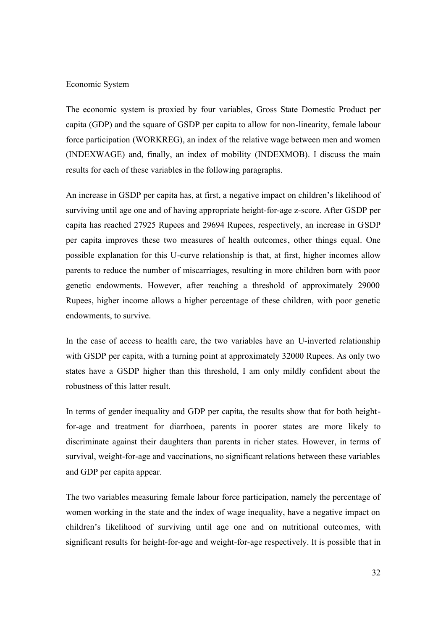### Economic System

The economic system is proxied by four variables, Gross State Domestic Product per capita (GDP) and the square of GSDP per capita to allow for non-linearity, female labour force participation (WORKREG), an index of the relative wage between men and women (INDEXWAGE) and, finally, an index of mobility (INDEXMOB). I discuss the main results for each of these variables in the following paragraphs.

An increase in GSDP per capita has, at first, a negative impact on children's likelihood of surviving until age one and of having appropriate height-for-age z-score. After GSDP per capita has reached 27925 Rupees and 29694 Rupees, respectively, an increase in GSDP per capita improves these two measures of health outcomes, other things equal. One possible explanation for this U-curve relationship is that, at first, higher incomes allow parents to reduce the number of miscarriages, resulting in more children born with poor genetic endowments. However, after reaching a threshold of approximately 29000 Rupees, higher income allows a higher percentage of these children, with poor genetic endowments, to survive.

In the case of access to health care, the two variables have an U-inverted relationship with GSDP per capita, with a turning point at approximately 32000 Rupees. As only two states have a GSDP higher than this threshold, I am only mildly confident about the robustness of this latter result.

In terms of gender inequality and GDP per capita, the results show that for both heightfor-age and treatment for diarrhoea, parents in poorer states are more likely to discriminate against their daughters than parents in richer states. However, in terms of survival, weight-for-age and vaccinations, no significant relations between these variables and GDP per capita appear.

The two variables measuring female labour force participation, namely the percentage of women working in the state and the index of wage inequality, have a negative impact on children's likelihood of surviving until age one and on nutritional outcomes, with significant results for height-for-age and weight-for-age respectively. It is possible that in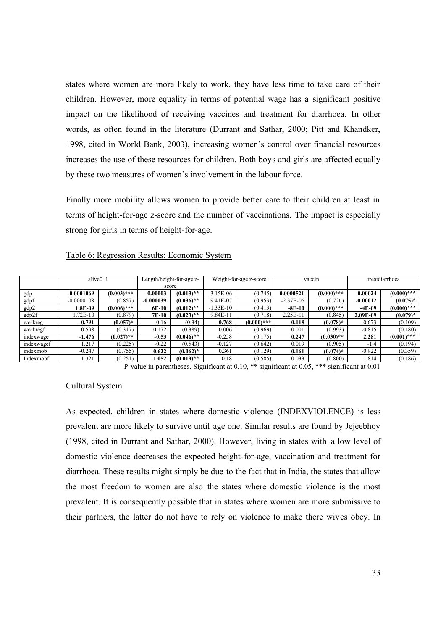states where women are more likely to work, they have less time to take care of their children. However, more equality in terms of potential wage has a significant positive impact on the likelihood of receiving vaccines and treatment for diarrhoea. In other words, as often found in the literature (Durrant and Sathar, 2000; Pitt and Khandker, 1998, cited in World Bank, 2003), increasing women's control over financial resources increases the use of these resources for children. Both boys and girls are affected equally by these two measures of women's involvement in the labour force.

Finally more mobility allows women to provide better care to their children at least in terms of height-for-age z-score and the number of vaccinations. The impact is especially strong for girls in terms of height-for-age.

|            | alive <sub>0</sub> 1 |               | Length/height-for-age z-<br>score |              |             | Weight-for-age z-score |             | vaccin                     | treatdiarrhoea |               |  |
|------------|----------------------|---------------|-----------------------------------|--------------|-------------|------------------------|-------------|----------------------------|----------------|---------------|--|
| gdp        | $-0.0001069$         | $(0.003)$ *** | $-0.00003$                        | $(0.013)$ ** |             | $-3.15E-06$<br>(0.745) |             | $(0.000)$ ***<br>0.0000521 |                | $(0.000)$ *** |  |
| gdpf       | $-0.0000108$         | (0.857)       | $-0.000039$                       | $(0.036)$ ** | 9.41E-07    | (0.953)                | $-2.37E-06$ | (0.726)                    | $-0.00012$     | $(0.075)*$    |  |
| gdp2       | 1.8E-09              | $(0.006)$ *** | 6E-10                             | $(0.012)$ ** | $-1.33E-10$ | (0.413)                | $-8E-10$    | $(0.000)$ ***              | $-4E-09$       | $(0.000)$ *** |  |
| gdp2f      | .72E-10              | (0.879)       | 7E-10                             | $(0.023)$ ** | 9.84E-11    | (0.718)                | $2.25E-1$   | (0.845)                    | 2.09E-09       | $(0.079)*$    |  |
| workreg    | $-0.791$             | $(0.057)^*$   | $-0.16$                           | (0.34)       | $-0.768$    | $(0.000)$ ***          | $-0.118$    | $(0.078)*$                 | $-0.673$       | (0.109)       |  |
| workregf   | 0.598                | (0.317)       | 0.172                             | (0.389)      | 0.006       | (0.969)                | 0.001       | (0.993)                    | $-0.815$       | (0.180)       |  |
| indexwage  | $-1.476$             | $(0.027)$ **  | $-0.53$                           | $(0.046)$ ** | $-0.258$    | (0.175)                | 0.247       | $(0.030)$ **               | 2.281          | $(0.001)$ *** |  |
| indexwagef | .217                 | (0.225)       | $-0.22$                           | (0.543)      | $-0.127$    | (0.642)                | 0.019       | (0.905)                    | $-1.4$         | (0.194)       |  |
| indexmob   | $-0.247$             | (0.755)       | 0.622                             | $(0.062)^*$  | 0.361       | (0.129)                | 0.161       | $(0.074)^*$                | $-0.922$       | (0.359)       |  |
| Indexmobf  | 1.321                | (0.251)       | .052                              | $(0.019)$ ** | 0.18        | (0.585)                | 0.033       | (0.800)                    | .814           | (0.186)       |  |

#### Table 6: Regression Results: Economic System

P-value in parentheses. Significant at 0.10, \*\* significant at 0.05, \*\*\* significant at 0.01

### Cultural System

As expected, children in states where domestic violence (INDEXVIOLENCE) is less prevalent are more likely to survive until age one. Similar results are found by Jejeebhoy (1998, cited in Durrant and Sathar, 2000). However, living in states with a low level of domestic violence decreases the expected height-for-age, vaccination and treatment for diarrhoea. These results might simply be due to the fact that in India, the states that allow the most freedom to women are also the states where domestic violence is the most prevalent. It is consequently possible that in states where women are more submissive to their partners, the latter do not have to rely on violence to make there wives obey. In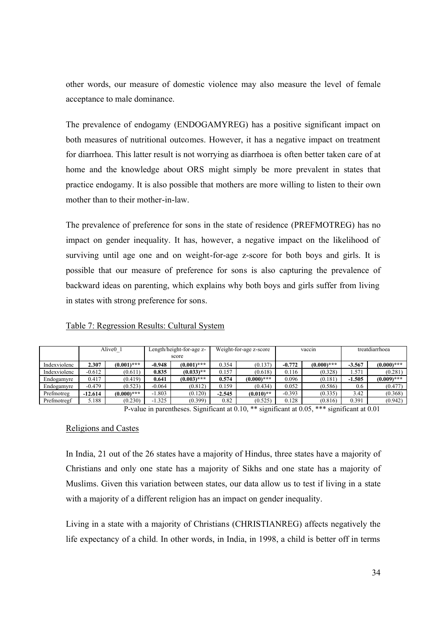other words, our measure of domestic violence may also measure the level of female acceptance to male dominance.

The prevalence of endogamy (ENDOGAMYREG) has a positive significant impact on both measures of nutritional outcomes. However, it has a negative impact on treatment for diarrhoea. This latter result is not worrying as diarrhoea is often better taken care of at home and the knowledge about ORS might simply be more prevalent in states that practice endogamy. It is also possible that mothers are more willing to listen to their own mother than to their mother-in-law.

The prevalence of preference for sons in the state of residence (PREFMOTREG) has no impact on gender inequality. It has, however, a negative impact on the likelihood of surviving until age one and on weight-for-age z-score for both boys and girls. It is possible that our measure of preference for sons is also capturing the prevalence of backward ideas on parenting, which explains why both boys and girls suffer from living in states with strong preference for sons.

|              | Alive <sub>0</sub> 1 |               | Length/height-for-age z-<br>score |               | Weight-for-age z-score |               |          | vaccin        | treatdiarrhoea |               |  |
|--------------|----------------------|---------------|-----------------------------------|---------------|------------------------|---------------|----------|---------------|----------------|---------------|--|
| Indexviolenc | 2.307                | $(0.001)$ *** | $-0.948$                          | $(0.001)$ *** |                        | (0.137)       | $-0.772$ | $(0.000)$ *** | $-3.567$       | $(0.000)$ *** |  |
| Indexviolenc | $-0.612$             | (0.611)       | 0.835                             | $(0.033)$ **  | 0.157                  | (0.618)       | 0.116    | (0.328)       | 1.571          | (0.281)       |  |
| Endogamyre   | 0.417                | (0.419)       | 0.641                             | $(0.003)$ *** | 0.574                  | $(0.000)$ *** | 0.096    | (0.181)       | $-1.505$       | $(0.009)$ *** |  |
| Endogamyre   | $-0.479$             | (0.523)       | $-0.064$                          | (0.812)       | 0.159                  | (0.434)       | 0.052    | (0.586)       | 0.6            | (0.477)       |  |
| Prefmotreg   | $-12.614$            | $(0.000)$ *** | $-1.803$                          | (0.120)       | $-2.545$               | $(0.010)**$   | $-0.393$ | (0.335)       | 3.42           | (0.368)       |  |
| Prefmotregf  | 5.188                | (0.230)       | $-1.325$                          | (0.399)       | 0.82                   | (0.525)       | 0.128    | (0.816)       | 0.391          | (0.942)       |  |

## Table 7: Regression Results: Cultural System

P-value in parentheses. Significant at 0.10, \*\* significant at 0.05, \*\*\* significant at 0.01

### Religions and Castes

In India, 21 out of the 26 states have a majority of Hindus, three states have a majority of Christians and only one state has a majority of Sikhs and one state has a majority of Muslims. Given this variation between states, our data allow us to test if living in a state with a majority of a different religion has an impact on gender inequality.

Living in a state with a majority of Christians (CHRISTIANREG) affects negatively the life expectancy of a child. In other words, in India, in 1998, a child is better off in terms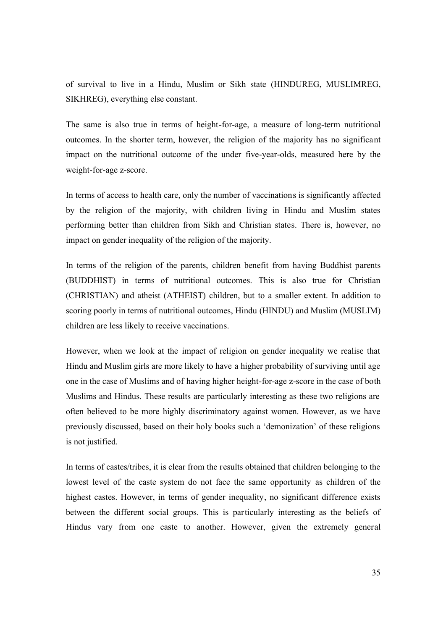of survival to live in a Hindu, Muslim or Sikh state (HINDUREG, MUSLIMREG, SIKHREG), everything else constant.

The same is also true in terms of height-for-age, a measure of long-term nutritional outcomes. In the shorter term, however, the religion of the majority has no significant impact on the nutritional outcome of the under five-year-olds, measured here by the weight-for-age z-score.

In terms of access to health care, only the number of vaccinations is significantly affected by the religion of the majority, with children living in Hindu and Muslim states performing better than children from Sikh and Christian states. There is, however, no impact on gender inequality of the religion of the majority.

In terms of the religion of the parents, children benefit from having Buddhist parents (BUDDHIST) in terms of nutritional outcomes. This is also true for Christian (CHRISTIAN) and atheist (ATHEIST) children, but to a smaller extent. In addition to scoring poorly in terms of nutritional outcomes, Hindu (HINDU) and Muslim (MUSLIM) children are less likely to receive vaccinations.

However, when we look at the impact of religion on gender inequality we realise that Hindu and Muslim girls are more likely to have a higher probability of surviving until age one in the case of Muslims and of having higher height-for-age z-score in the case of both Muslims and Hindus. These results are particularly interesting as these two religions are often believed to be more highly discriminatory against women. However, as we have previously discussed, based on their holy books such a 'demonization' of these religions is not justified.

In terms of castes/tribes, it is clear from the results obtained that children belonging to the lowest level of the caste system do not face the same opportunity as children of the highest castes. However, in terms of gender inequality, no significant difference exists between the different social groups. This is particularly interesting as the beliefs of Hindus vary from one caste to another. However, given the extremely general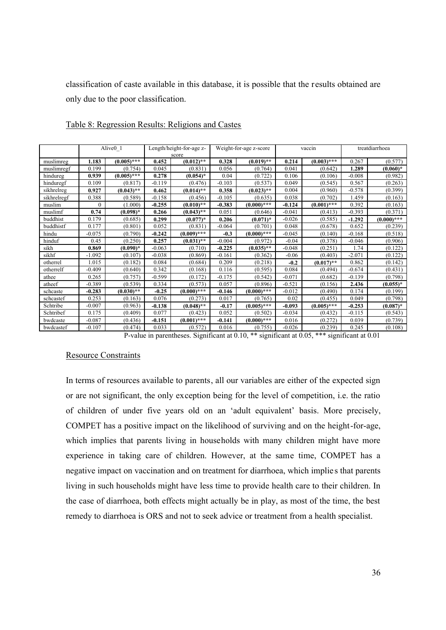classification of caste available in this database, it is possible that the results obtained are only due to the poor classification.

|             |          | Alive <sub>0</sub> 1 |          | Length/height-for-age z-<br>score |          | Weight-for-age z-score |          | vaccin        | treatdiarrhoea |               |  |
|-------------|----------|----------------------|----------|-----------------------------------|----------|------------------------|----------|---------------|----------------|---------------|--|
| muslimreg   | 1.183    | $(0.005)$ ***        | 0.452    | $(0.012)$ **                      | 0.328    | $(0.019)$ **           | 0.214    | $(0.003)$ *** | 0.267          | (0.577)       |  |
| muslimregf  | 0.199    | (0.754)              | 0.045    | (0.831)                           | 0.056    | (0.764)                | 0.041    | (0.642)       | 1.289          | $(0.060)*$    |  |
| hindureg    | 0.939    | $(0.005)$ ***        | 0.278    | $(0.054)$ *                       | 0.04     | (0.722)                | 0.106    | (0.106)       | $-0.008$       | (0.982)       |  |
| hinduregf   | 0.109    | (0.817)              | $-0.119$ | (0.476)                           | $-0.103$ | (0.537)                | 0.049    | (0.545)       | 0.567          | (0.263)       |  |
| sikhrelreg  | 0.927    | $(0.043)$ **         | 0.462    | $(0.014)$ **                      | 0.358    | $(0.023)$ **           | 0.004    | (0.960)       | $-0.578$       | (0.399)       |  |
| sikhrelregf | 0.388    | (0.589)              | $-0.158$ | (0.456)                           | $-0.105$ | (0.635)                | 0.038    | (0.702)       | 1.459          | (0.163)       |  |
| muslim      | $\theta$ | (1.000)              | $-0.255$ | $(0.010)**$                       | $-0.383$ | $(0.000)$ ***          | $-0.124$ | $(0.001)$ *** | 0.392          | (0.163)       |  |
| muslimf     | 0.74     | $(0.098)*$           | 0.266    | $(0.043)$ **                      | 0.051    | (0.646)                | $-0.041$ | (0.413)       | $-0.393$       | (0.371)       |  |
| buddhist    | 0.179    | (0.685)              | 0.299    | $(0.077)^*$                       | 0.206    | $(0.071)^*$            | $-0.026$ | (0.585)       | $-1.292$       | $(0.000)$ *** |  |
| buddhistf   | 0.177    | (0.801)              | 0.052    | (0.831)                           | $-0.064$ | (0.701)                | 0.048    | (0.678)       | 0.652          | (0.239)       |  |
| hindu       | $-0.075$ | (0.790)              | $-0.242$ | $(0.009)$ ***                     | $-0.3$   | $(0.000)$ ***          | $-0.045$ | (0.140)       | $-0.168$       | (0.518)       |  |
| hinduf      | 0.45     | (0.250)              | 0.257    | $(0.031)$ **                      | $-0.004$ | (0.972)                | $-0.04$  | (0.378)       | $-0.046$       | (0.906)       |  |
| sikh        | 0.869    | $(0.090)*$           | $-0.063$ | (0.710)                           | $-0.225$ | $(0.035)$ **           | $-0.048$ | (0.251)       | 1.74           | (0.122)       |  |
| sikhf       | $-1.092$ | (0.107)              | $-0.038$ | (0.869)                           | $-0.161$ | (0.362)                | $-0.06$  | (0.403)       | $-2.071$       | (0.122)       |  |
| otherrel    | 1.015    | (0.182)              | 0.084    | (0.684)                           | 0.209    | (0.218)                | $-0.2$   | $(0.017)$ **  | 0.862          | (0.142)       |  |
| otherrelf   | $-0.409$ | (0.640)              | 0.342    | (0.168)                           | 0.116    | (0.595)                | 0.084    | (0.494)       | $-0.674$       | (0.431)       |  |
| athee       | 0.265    | (0.757)              | $-0.599$ | (0.172)                           | $-0.175$ | (0.542)                | $-0.071$ | (0.682)       | $-0.139$       | (0.798)       |  |
| atheef      | $-0.389$ | (0.539)              | 0.334    | (0.573)                           | 0.057    | (0.896)                | $-0.521$ | (0.156)       | 2.436          | $(0.055)*$    |  |
| schcaste    | $-0.283$ | $(0.030)$ **         | $-0.25$  | $(0.000)$ ***                     | $-0.146$ | $(0.000)$ ***          | $-0.012$ | (0.490)       | 0.174          | (0.199)       |  |
| schcastef   | 0.253    | (0.163)              | 0.076    | (0.273)                           | 0.017    | (0.765)                | 0.02     | (0.455)       | 0.049          | (0.798)       |  |
| Schtribe    | $-0.007$ | (0.963)              | $-0.138$ | $(0.048)$ **                      | $-0.17$  | $(0.005)$ ***          | $-0.093$ | $(0.005)$ *** | $-0.253$       | $(0.087)^*$   |  |
| Schtribef   | 0.175    | (0.409)              | 0.077    | (0.423)                           | 0.052    | (0.502)                | $-0.034$ | (0.432)       | $-0.115$       | (0.543)       |  |
| bwdcaste    | $-0.087$ | (0.436)              | $-0.151$ | $(0.001)$ ***                     | $-0.141$ | $(0.000)$ ***          | 0.016    | (0.272)       | 0.039          | (0.739)       |  |
| bwdcastef   | $-0.107$ | (0.474)              | 0.033    | (0.572)                           | 0.016    | (0.755)                | $-0.026$ | (0.239)       | 0.245          | (0.108)       |  |

Table 8: Regression Results: Religions and Castes

P-value in parentheses. Significant at 0.10, \*\* significant at 0.05, \*\*\* significant at 0.01

### Resource Constraints

In terms of resources available to parents, all our variables are either of the expected sign or are not significant, the only exception being for the level of competition, i.e. the ratio of children of under five years old on an 'adult equivalent' basis. More precisely, COMPET has a positive impact on the likelihood of surviving and on the height-for-age, which implies that parents living in households with many children might have more experience in taking care of children. However, at the same time, COMPET has a negative impact on vaccination and on treatment for diarrhoea, which implie s that parents living in such households might have less time to provide health care to their children. In the case of diarrhoea, both effects might actually be in play, as most of the time, the best remedy to diarrhoea is ORS and not to seek advice or treatment from a health specialist.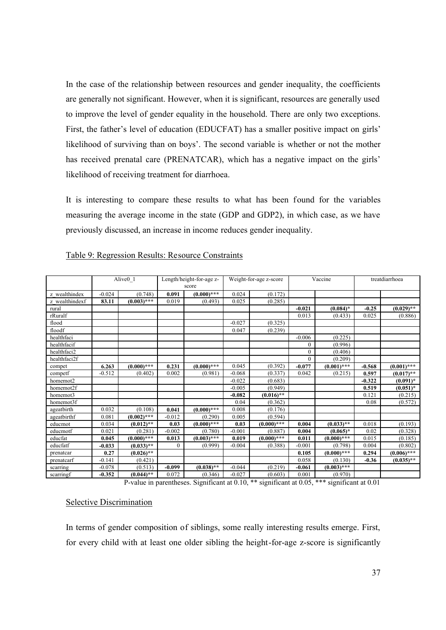In the case of the relationship between resources and gender inequality, the coefficients are generally not significant. However, when it is significant, resources are generally used to improve the level of gender equality in the household. There are only two exceptions. First, the father's level of education (EDUCFAT) has a smaller positive impact on girls' likelihood of surviving than on boys'. The second variable is whether or not the mother has received prenatal care (PRENATCAR), which has a negative impact on the girls' likelihood of receiving treatment for diarrhoea.

It is interesting to compare these results to what has been found for the variables measuring the average income in the state (GDP and GDP2), in which case, as we have previously discussed, an increase in income reduces gender inequality.

|                |          |                      |              |                                   |          |                        |              |               | treatdiarrhoea |               |
|----------------|----------|----------------------|--------------|-----------------------------------|----------|------------------------|--------------|---------------|----------------|---------------|
|                |          | Alive <sub>0</sub> 1 |              | Length/height-for-age z-<br>score |          | Weight-for-age z-score |              | Vaccine       |                |               |
|                |          |                      |              |                                   |          |                        |              |               |                |               |
| z wealthindex  | $-0.024$ | (0.748)              | 0.091        | $(0.000)$ ***                     | 0.024    | (0.172)                |              |               |                |               |
| z wealthindexf | 83.11    | $(0.003)$ ***        | 0.019        | (0.493)                           | 0.025    | (0.285)                |              |               |                |               |
| rural          |          |                      |              |                                   |          |                        | $-0.021$     | $(0.084)$ *   | $-0.25$        | $(0.029)$ **  |
| rRuralf        |          |                      |              |                                   |          |                        | 0.013        | (0.433)       | 0.025          | (0.886)       |
| flood          |          |                      |              |                                   | $-0.027$ | (0.325)                |              |               |                |               |
| floodf         |          |                      |              |                                   | 0.047    | (0.239)                |              |               |                |               |
| healthfaci     |          |                      |              |                                   |          |                        | $-0.006$     | (0.225)       |                |               |
| healthfacif    |          |                      |              |                                   |          |                        | $\mathbf{0}$ | (0.996)       |                |               |
| healthfaci2    |          |                      |              |                                   |          |                        | $\mathbf{0}$ | (0.406)       |                |               |
| healthfaci2f   |          |                      |              |                                   |          |                        | $\Omega$     | (0.209)       |                |               |
| compet         | 6.263    | $(0.000)$ ***        | 0.231        | $(0.000)$ ***                     | 0.045    | (0.392)                | $-0.077$     | $(0.001)$ *** | $-0.568$       | $(0.001)$ *** |
| competf        | $-0.512$ | (0.402)              | 0.002        | (0.981)                           | $-0.068$ | (0.337)                | 0.042        | (0.215)       | 0.597          | $(0.017)$ **  |
| homemot2       |          |                      |              |                                   | $-0.022$ | (0.683)                |              |               | $-0.322$       | $(0.091)^*$   |
| homemot2f      |          |                      |              |                                   | $-0.005$ | (0.949)                |              |               | 0.519          | $(0.051)^*$   |
| homemot3       |          |                      |              |                                   | $-0.082$ | $(0.016)$ **           |              |               | 0.121          | (0.215)       |
| homemot3f      |          |                      |              |                                   | 0.04     | (0.362)                |              |               | 0.08           | (0.572)       |
| ageatbirth     | 0.032    | (0.108)              | 0.041        | $(0.000)$ ***                     | 0.008    | (0.176)                |              |               |                |               |
| ageatbirthf    | 0.081    | $(0.002)$ ***        | $-0.012$     | (0.290)                           | 0.005    | (0.594)                |              |               |                |               |
| educmot        | 0.034    | $(0.012)$ **         | 0.03         | $(0.000)$ ***                     | 0.03     | $(0.000)$ ***          | 0.004        | $(0.033)$ **  | 0.018          | (0.193)       |
| educmotf       | 0.021    | (0.281)              | $-0.002$     | (0.780)                           | $-0.001$ | (0.887)                | 0.004        | $(0.065)*$    | 0.02           | (0.328)       |
| educfat        | 0.045    | $(0.000)$ ***        | 0.013        | $(0.003)$ ***                     | 0.019    | $(0.000)$ ***          | 0.011        | $(0.000)$ *** | 0.015          | (0.185)       |
| educfatf       | $-0.033$ | $(0.033)$ **         | $\mathbf{0}$ | (0.999)                           | $-0.004$ | (0.388)                | $-0.001$     | (0.798)       | 0.004          | (0.802)       |
| prenatcar      | 0.27     | $(0.026)$ **         |              |                                   |          |                        | 0.105        | $(0.000)$ *** | 0.294          | $(0.006)$ *** |
| prenatcarf     | $-0.141$ | (0.421)              |              |                                   |          |                        | 0.058        | (0.130)       | $-0.36$        | $(0.035)*$    |
| scarring       | $-0.078$ | (0.513)              | $-0.099$     | $(0.038)$ **                      | $-0.044$ | (0.219)                | $-0.061$     | $(0.003)$ *** |                |               |
| scarringf      | $-0.352$ | $(0.044)$ **         | 0.072        | (0.346)                           | $-0.027$ | (0.603)                | 0.001        | (0.970)       |                |               |

### Table 9: Regression Results: Resource Constraints

P-value in parentheses. Significant at 0.10, \*\* significant at 0.05, \*\*\* significant at 0.01

### Selective Discrimination

In terms of gender composition of siblings, some really interesting results emerge. First, for every child with at least one older sibling the height-for-age z-score is significantly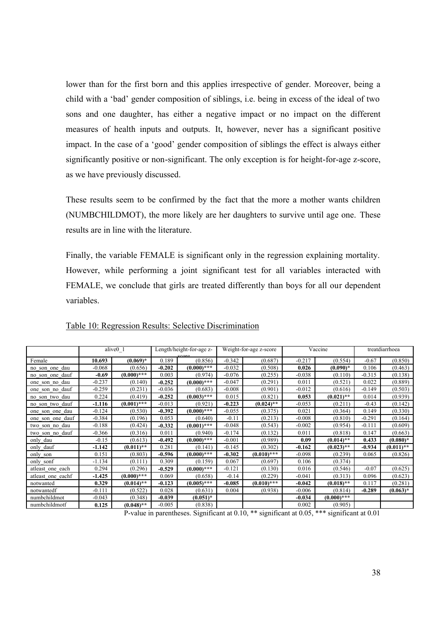lower than for the first born and this applies irrespective of gender. Moreover, being a child with a 'bad' gender composition of siblings, i.e. being in excess of the ideal of two sons and one daughter, has either a negative impact or no impact on the different measures of health inputs and outputs. It, however, never has a significant positive impact. In the case of a 'good' gender composition of siblings the effect is always either significantly positive or non-significant. The only exception is for height-for-age z-score, as we have previously discussed.

These results seem to be confirmed by the fact that the more a mother wants children (NUMBCHILDMOT), the more likely are her daughters to survive until age one. These results are in line with the literature.

Finally, the variable FEMALE is significant only in the regression explaining mortality. However, while performing a joint significant test for all variables interacted with FEMALE, we conclude that girls are treated differently than boys for all our dependent variables.

|                   |          | alive0 1      |          | Length/height-for-age z- |          | Weight-for-age z-score |          | Vaccine       | treatdiarrhoea |              |  |
|-------------------|----------|---------------|----------|--------------------------|----------|------------------------|----------|---------------|----------------|--------------|--|
| Female            | 10.693   | $(0.069)^*$   | 0.189    | (0.856)                  | $-0.342$ | (0.687)                | $-0.217$ | (0.554)       | $-0.67$        | (0.850)      |  |
| no son one dau    | $-0.068$ | (0.656)       | $-0.202$ | $(0.000)$ ***            | $-0.032$ | (0.508)                | 0.026    | $(0.090)*$    | 0.106          | (0.463)      |  |
| no son one dauf   | $-0.69$  | $(0.000)$ *** | 0.003    | (0.974)                  | $-0.076$ | (0.255)                | $-0.038$ | (0.110)       | $-0.315$       | (0.138)      |  |
| one son no dau    | $-0.237$ | (0.140)       | $-0.252$ | $(0.000)$ ***            | $-0.047$ | (0.291)                | 0.011    | (0.521)       | 0.022          | (0.889)      |  |
| one son no dauf   | $-0.259$ | (0.231)       | $-0.036$ | (0.683)                  | $-0.008$ | (0.901)                | $-0.012$ | (0.616)       | $-0.149$       | (0.503)      |  |
| no son two dau    | 0.224    | (0.419)       | $-0.252$ | $(0.003)$ ***            | 0.015    | (0.821)                | 0.053    | $(0.021)$ **  | 0.014          | (0.939)      |  |
| no son two dauf   | -1.116   | $(0.001)$ *** | $-0.013$ | (0.921)                  | $-0.223$ | $(0.024)$ **           | $-0.053$ | (0.211)       | $-0.43$        | (0.142)      |  |
| one son one dau   | $-0.124$ | (0.530)       | $-0.392$ | $(0.000)$ ***            | $-0.055$ | (0.375)                | 0.021    | (0.364)       | 0.149          | (0.330)      |  |
| one son one dauf  | $-0.384$ | (0.196)       | 0.053    | (0.640)                  | $-0.11$  | (0.213)                | $-0.008$ | (0.810)       | $-0.291$       | (0.164)      |  |
| two son no dau    | $-0.188$ | (0.424)       | $-0.332$ | $(0.001)$ ***            | $-0.048$ | (0.543)                | $-0.002$ | (0.954)       | $-0.111$       | (0.609)      |  |
| two son no dauf   | $-0.366$ | (0.316)       | 0.011    | (0.940)                  | $-0.174$ | (0.132)                | 0.011    | (0.818)       | 0.147          | (0.663)      |  |
| only dau          | $-0.15$  | (0.613)       | $-0.492$ | $(0.000)$ ***            | $-0.001$ | (0.989)                | 0.09     | $(0.014)$ **  | 0.433          | $(0.080)*$   |  |
| only dauf         | $-1.142$ | $(0.011)$ **  | 0.281    | (0.141)                  | $-0.145$ | (0.302)                | $-0.162$ | $(0.023)$ **  | $-0.934$       | $(0.011)$ ** |  |
| only son          | 0.151    | (0.803)       | $-0.596$ | $(0.000)$ ***            | -0.302   | $(0.010)$ ***          | $-0.098$ | (0.239)       | 0.065          | (0.826)      |  |
| only sonf         | $-1.134$ | (0.111)       | 0.309    | (0.159)                  | 0.067    | (0.697)                | 0.106    | (0.374)       |                |              |  |
| atleast one each  | 0.294    | (0.296)       | $-0.529$ | $(0.000)$ ***            | $-0.121$ | (0.130)                | 0.016    | (0.546)       | $-0.07$        | (0.625)      |  |
| atleast one eachf | $-1.425$ | $(0.000)$ *** | 0.069    | (0.658)                  | $-0.14$  | (0.229)                | $-0.041$ | (0.313)       | 0.096          | (0.623)      |  |
| notwanted         | 0.329    | $(0.014)$ **  | $-0.123$ | $(0.005)$ ***            | $-0.085$ | $(0.010)$ ***          | $-0.042$ | $(0.018)$ **  | 0.117          | (0.281)      |  |
| notwantedf        | $-0.111$ | (0.522)       | 0.028    | (0.631)                  | 0.004    | (0.938)                | $-0.006$ | (0.814)       | $-0.289$       | $(0.063)^*$  |  |
| numbchildmot      | $-0.043$ | (0.348)       | $-0.039$ | $(0.051)^*$              |          |                        | $-0.034$ | $(0.000)$ *** |                |              |  |
| numbchildmotf     | 0.125    | $(0.048)$ **  | $-0.005$ | (0.838)                  |          |                        | 0.002    | (0.905)       |                |              |  |

### Table 10: Regression Results: Selective Discrimination

P-value in parentheses. Significant at 0.10, \*\* significant at 0.05, \*\*\* significant at 0.01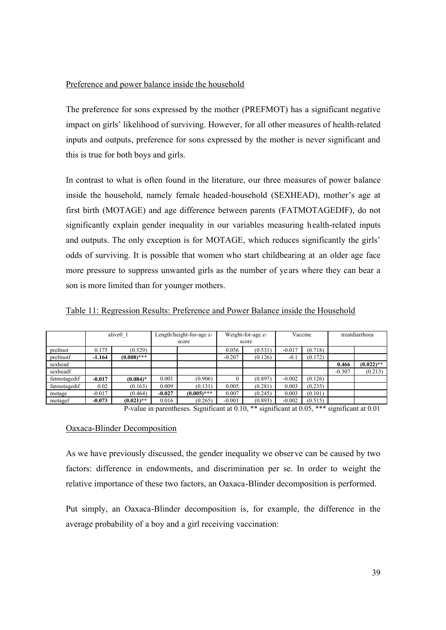## Preference and power balance inside the household

The preference for sons expressed by the mother (PREFMOT) has a significant negative impact on girls' likelihood of surviving. However, for all other measures of health-related inputs and outputs, preference for sons expressed by the mother is never significant and this is true for both boys and girls.

In contrast to what is often found in the literature, our three measures of power balance inside the household, namely female headed-household (SEXHEAD), mother's age at first birth (MOTAGE) and age difference between parents (FATMOTAGEDIF), do not significantly explain gender inequality in our variables measuring health-related inputs and outputs. The only exception is for MOTAGE, which reduces significantly the girls' odds of surviving. It is possible that women who start childbearing at an older age face more pressure to suppress unwanted girls as the number of years where they can bear a son is more limited than for younger mothers.

|              |          | alive <sub>0</sub> 1 |          | Length/height-for-age z- |          | Weight-for-age z- |          | Vaccine | treatdiarrhoea |              |
|--------------|----------|----------------------|----------|--------------------------|----------|-------------------|----------|---------|----------------|--------------|
|              |          |                      |          | score                    |          | score             |          |         |                |              |
| prefmot      | 0.175    | (0.529)              |          |                          | 0.056    | (0.531)           | $-0.017$ | (0.718) |                |              |
| prefmotf     | $-1.164$ | $(0.008)$ ***        |          |                          | $-0.207$ | (0.126)           | $-0.1$   | (0.172) |                |              |
| sexhead      |          |                      |          |                          |          |                   |          |         | 0.466          | $(0.022)$ ** |
| sexheadf     |          |                      |          |                          |          |                   |          |         | $-0.307$       | (0.213)      |
| fatmotagedif | $-0.017$ | $(0.084)$ *          | 0.001    | (0.906)                  |          | (0.897)           | $-0.002$ | (0.126) |                |              |
| fatmotagedif | 0.02     | (0.163)              | 0.009    | (0.131)                  | 0.005    | (0.281)           | 0.003    | (0.235) |                |              |
| motage       | $-0.017$ | (0.464)              | $-0.027$ | $(0.005)$ ***            | 0.007    | (0.245)           | 0.003    | (0.101) |                |              |
| motagef      | $-0.073$ | $(0.021)$ **         | 0.016    | (0.265)                  | $-0.001$ | (0.893)           | $-0.002$ | (0.515) |                |              |

Table 11: Regression Results: Preference and Power Balance inside the Household

P-value in parentheses. Significant at 0.10, \*\* significant at 0.05, \*\*\* significant at 0.01

## Oaxaca-Blinder Decomposition

As we have previously discussed, the gender inequality we observe can be caused by two factors: difference in endowments, and discrimination per se. In order to weight the relative importance of these two factors, an Oaxaca-Blinder decomposition is performed.

Put simply, an Oaxaca-Blinder decomposition is, for example, the difference in the average probability of a boy and a girl receiving vaccination: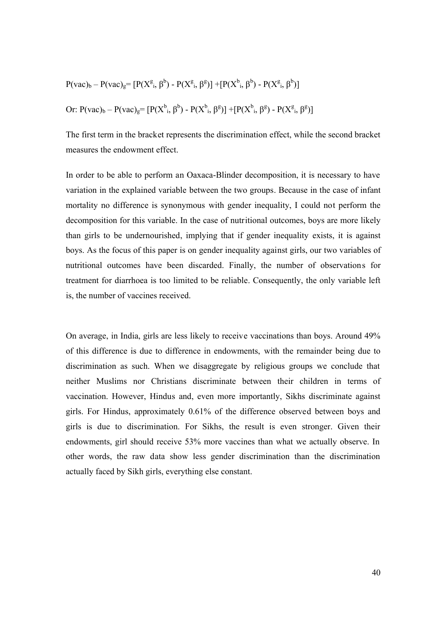$$
P(vac)_b - P(vac)_g = [P(X^g, \beta^b) - P(X^g, \beta^g)] + [P(X^b, \beta^b) - P(X^g, \beta^b)]
$$
  
Or:  $P(vac)_b - P(vac)_g = [P(X^b, \beta^b) - P(X^b, \beta^g)] + [P(X^b, \beta^g) - P(X^g, \beta^g)]$ 

The first term in the bracket represents the discrimination effect, while the second bracket measures the endowment effect.

In order to be able to perform an Oaxaca-Blinder decomposition, it is necessary to have variation in the explained variable between the two groups. Because in the case of infant mortality no difference is synonymous with gender inequality, I could not perform the decomposition for this variable. In the case of nutritional outcomes, boys are more likely than girls to be undernourished, implying that if gender inequality exists, it is against boys. As the focus of this paper is on gender inequality against girls, our two variables of nutritional outcomes have been discarded. Finally, the number of observations for treatment for diarrhoea is too limited to be reliable. Consequently, the only variable left is, the number of vaccines received.

On average, in India, girls are less likely to receive vaccinations than boys. Around 49% of this difference is due to difference in endowments, with the remainder being due to discrimination as such. When we disaggregate by religious groups we conclude that neither Muslims nor Christians discriminate between their children in terms of vaccination. However, Hindus and, even more importantly, Sikhs discriminate against girls. For Hindus, approximately 0.61% of the difference observed between boys and girls is due to discrimination. For Sikhs, the result is even stronger. Given their endowments, girl should receive 53% more vaccines than what we actually observe. In other words, the raw data show less gender discrimination than the discrimination actually faced by Sikh girls, everything else constant.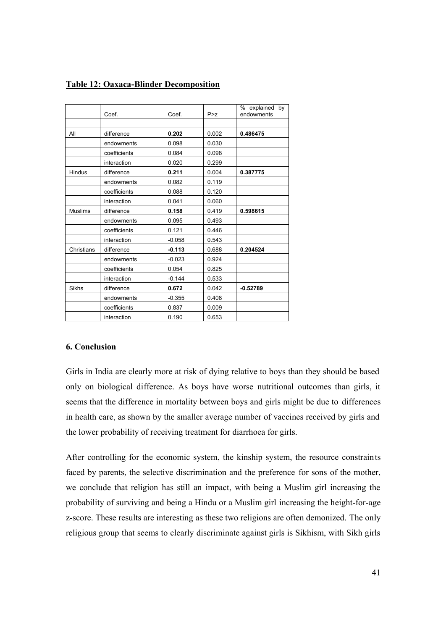|  |  | <b>Table 12: Oaxaca-Blinder Decomposition</b> |  |
|--|--|-----------------------------------------------|--|
|--|--|-----------------------------------------------|--|

|                | Coef.        | Coef.    | P > Z | % explained<br>by<br>endowments |
|----------------|--------------|----------|-------|---------------------------------|
|                |              |          |       |                                 |
| All            | difference   | 0.202    | 0.002 | 0.486475                        |
|                | endowments   | 0.098    | 0.030 |                                 |
|                | coefficients | 0.084    | 0.098 |                                 |
|                | interaction  | 0.020    | 0.299 |                                 |
| Hindus         | difference   | 0.211    | 0.004 | 0.387775                        |
|                | endowments   | 0.082    | 0.119 |                                 |
|                | coefficients | 0.088    | 0.120 |                                 |
|                | interaction  | 0.041    | 0.060 |                                 |
| <b>Muslims</b> | difference   | 0.158    | 0.419 | 0.598615                        |
|                | endowments   | 0.095    | 0.493 |                                 |
|                | coefficients | 0.121    | 0.446 |                                 |
|                | interaction  | $-0.058$ | 0.543 |                                 |
| Christians     | difference   | $-0.113$ | 0.688 | 0.204524                        |
|                | endowments   | $-0.023$ | 0.924 |                                 |
|                | coefficients | 0.054    | 0.825 |                                 |
|                | interaction  | $-0.144$ | 0.533 |                                 |
| Sikhs          | difference   | 0.672    | 0.042 | $-0.52789$                      |
|                | endowments   | $-0.355$ | 0.408 |                                 |
|                | coefficients | 0.837    | 0.009 |                                 |
|                | interaction  | 0.190    | 0.653 |                                 |

## **6. Conclusion**

Girls in India are clearly more at risk of dying relative to boys than they should be based only on biological difference. As boys have worse nutritional outcomes than girls, it seems that the difference in mortality between boys and girls might be due to differences in health care, as shown by the smaller average number of vaccines received by girls and the lower probability of receiving treatment for diarrhoea for girls.

After controlling for the economic system, the kinship system, the resource constraints faced by parents, the selective discrimination and the preference for sons of the mother, we conclude that religion has still an impact, with being a Muslim girl increasing the probability of surviving and being a Hindu or a Muslim girl increasing the height-for-age z-score. These results are interesting as these two religions are often demonized. The only religious group that seems to clearly discriminate against girls is Sikhism, with Sikh girls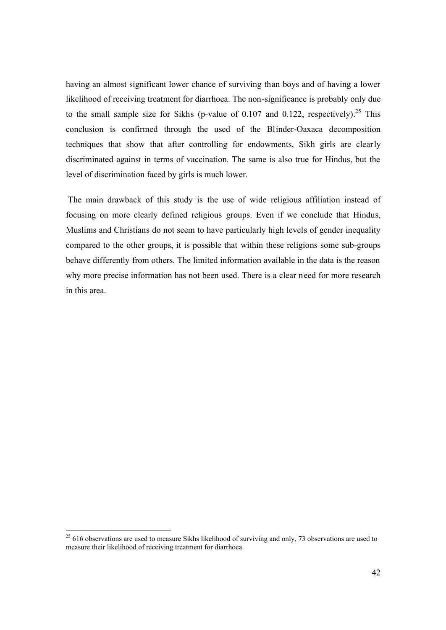having an almost significant lower chance of surviving than boys and of having a lower likelihood of receiving treatment for diarrhoea. The non-significance is probably only due to the small sample size for Sikhs (p-value of 0.107 and 0.122, respectively).<sup>25</sup> This conclusion is confirmed through the used of the Blinder-Oaxaca decomposition techniques that show that after controlling for endowments, Sikh girls are clearly discriminated against in terms of vaccination. The same is also true for Hindus, but the level of discrimination faced by girls is much lower.

The main drawback of this study is the use of wide religious affiliation instead of focusing on more clearly defined religious groups. Even if we conclude that Hindus, Muslims and Christians do not seem to have particularly high levels of gender inequality compared to the other groups, it is possible that within these religions some sub-groups behave differently from others. The limited information available in the data is the reason why more precise information has not been used. There is a clear need for more research in this area.

 $25$  616 observations are used to measure Sikhs likelihood of surviving and only, 73 observations are used to measure their likelihood of receiving treatment for diarrhoea.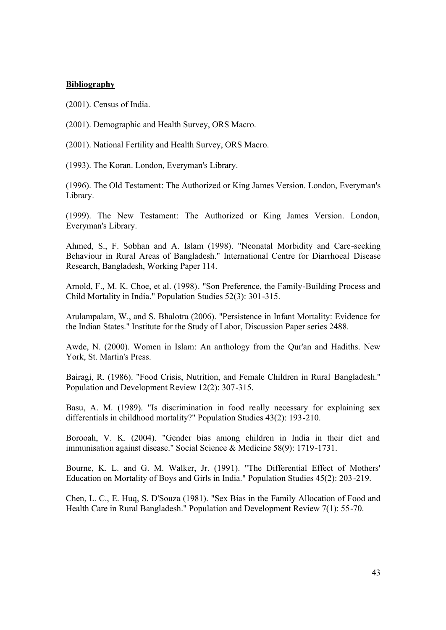### **Bibliography**

(2001). Census of India.

(2001). Demographic and Health Survey, ORS Macro.

(2001). National Fertility and Health Survey, ORS Macro.

(1993). The Koran. London, Everyman's Library.

(1996). The Old Testament: The Authorized or King James Version. London, Everyman's Library.

(1999). The New Testament: The Authorized or King James Version. London, Everyman's Library.

Ahmed, S., F. Sobhan and A. Islam (1998). "Neonatal Morbidity and Care-seeking Behaviour in Rural Areas of Bangladesh." International Centre for Diarrhoeal Disease Research, Bangladesh, Working Paper 114.

Arnold, F., M. K. Choe, et al. (1998). "Son Preference, the Family-Building Process and Child Mortality in India." Population Studies 52(3): 301-315.

Arulampalam, W., and S. Bhalotra (2006). "Persistence in Infant Mortality: Evidence for the Indian States." Institute for the Study of Labor, Discussion Paper series 2488.

Awde, N. (2000). Women in Islam: An anthology from the Qur'an and Hadiths. New York, St. Martin's Press.

Bairagi, R. (1986). "Food Crisis, Nutrition, and Female Children in Rural Bangladesh." Population and Development Review 12(2): 307-315.

Basu, A. M. (1989). "Is discrimination in food really necessary for explaining sex differentials in childhood mortality?" Population Studies 43(2): 193-210.

Borooah, V. K. (2004). "Gender bias among children in India in their diet and immunisation against disease." Social Science & Medicine 58(9): 1719-1731.

Bourne, K. L. and G. M. Walker, Jr. (1991). "The Differential Effect of Mothers' Education on Mortality of Boys and Girls in India." Population Studies 45(2): 203-219.

Chen, L. C., E. Huq, S. D'Souza (1981). "Sex Bias in the Family Allocation of Food and Health Care in Rural Bangladesh." Population and Development Review 7(1): 55-70.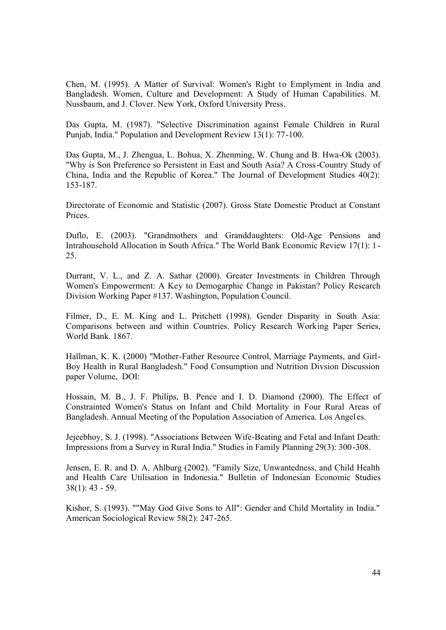Chen, M. (1995). A Matter of Survival: Women's Right to Emplyment in India and Bangladesh. Women, Culture and Development: A Study of Human Capabilities. M. Nussbaum, and J. Clover. New York, Oxford University Press.

Das Gupta, M. (1987). "Selective Discrimination against Female Children in Rural Punjab, India." Population and Development Review 13(1): 77-100.

Das Gupta, M., J. Zhengua, L. Bohua, X. Zhenming, W. Chung and B. Hwa-Ok (2003). "Why is Son Preference so Persistent in East and South Asia? A Cross-Country Study of China, India and the Republic of Korea." The Journal of Development Studies 40(2): 153-187.

Directorate of Economic and Statistic (2007). Gross State Domestic Product at Constant **Prices** 

Duflo, E. (2003). "Grandmothers and Granddaughters: Old-Age Pensions and Intrahousehold Allocation in South Africa." The World Bank Economic Review 17(1): 1 - 25.

Durrant, V. L., and Z. A. Sathar (2000). Greater Investments in Children Through Women's Empowerment: A Key to Demogarphic Change in Pakistan? Policy Research Division Working Paper #137. Washington, Population Council.

Filmer, D., E. M. King and L. Pritchett (1998). Gender Disparity in South Asia: Comparisons between and within Countries. Policy Research Working Paper Series, World Bank. 1867.

Hallman, K. K. (2000) "Mother-Father Resource Control, Marriage Payments, and Girl-Boy Health in Rural Bangladesh." Food Consumption and Nutrition Divsion Discussion paper Volume, DOI:

Hossain, M. B., J. F. Philips, B. Pence and I. D. Diamond (2000). The Effect of Constrainted Women's Status on Infant and Child Mortality in Four Rural Areas of Bangladesh. Annual Meeting of the Population Association of America. Los Angel es.

Jejeebhoy, S. J. (1998). "Associations Between Wife-Beating and Fetal and Infant Death: Impressions from a Survey in Rural India." Studies in Family Planning 29(3): 300-308.

Jensen, E. R. and D. A. Ahlburg (2002). "Family Size, Unwantedness, and Child Health and Health Care Utilisation in Indonesia." Bulletin of Indonesian Economic Studies 38(1): 43 - 59.

Kishor, S. (1993). ""May God Give Sons to All": Gender and Child Mortality in India." American Sociological Review 58(2): 247-265.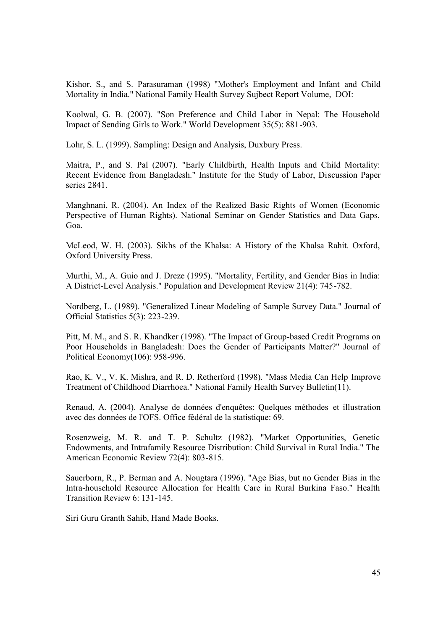Kishor, S., and S. Parasuraman (1998) "Mother's Employment and Infant and Child Mortality in India." National Family Health Survey Sujbect Report Volume, DOI:

Koolwal, G. B. (2007). "Son Preference and Child Labor in Nepal: The Household Impact of Sending Girls to Work." World Development 35(5): 881-903.

Lohr, S. L. (1999). Sampling: Design and Analysis, Duxbury Press.

Maitra, P., and S. Pal (2007). "Early Childbirth, Health Inputs and Child Mortality: Recent Evidence from Bangladesh." Institute for the Study of Labor, Discussion Paper series 2841.

Manghnani, R. (2004). An Index of the Realized Basic Rights of Women (Economic Perspective of Human Rights). National Seminar on Gender Statistics and Data Gaps, Goa.

McLeod, W. H. (2003). Sikhs of the Khalsa: A History of the Khalsa Rahit. Oxford, Oxford University Press.

Murthi, M., A. Guio and J. Dreze (1995). "Mortality, Fertility, and Gender Bias in India: A District-Level Analysis." Population and Development Review 21(4): 745-782.

Nordberg, L. (1989). "Generalized Linear Modeling of Sample Survey Data." Journal of Official Statistics 5(3): 223-239.

Pitt, M. M., and S. R. Khandker (1998). "The Impact of Group-based Credit Programs on Poor Households in Bangladesh: Does the Gender of Participants Matter?" Journal of Political Economy(106): 958-996.

Rao, K. V., V. K. Mishra, and R. D. Retherford (1998). "Mass Media Can Help Improve Treatment of Childhood Diarrhoea." National Family Health Survey Bulletin(11).

Renaud, A. (2004). Analyse de données d'enquêtes: Quelques méthodes et illustration avec des données de l'OFS. Office fédéral de la statistique: 69.

Rosenzweig, M. R. and T. P. Schultz (1982). "Market Opportunities, Genetic Endowments, and Intrafamily Resource Distribution: Child Survival in Rural India." The American Economic Review 72(4): 803-815.

Sauerborn, R., P. Berman and A. Nougtara (1996). "Age Bias, but no Gender Bias in the Intra-household Resource Allocation for Health Care in Rural Burkina Faso." Health Transition Review 6: 131-145.

Siri Guru Granth Sahib, Hand Made Books.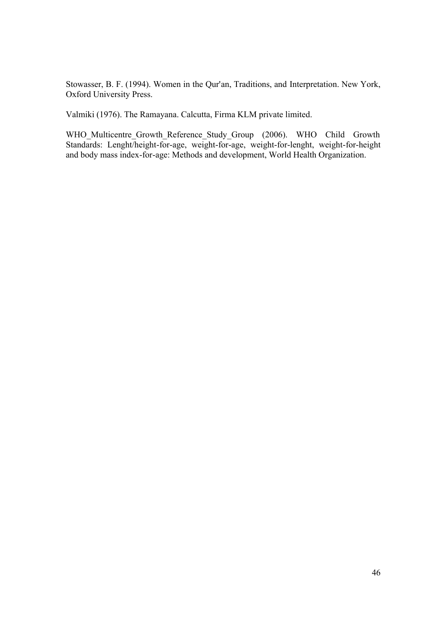Stowasser, B. F. (1994). Women in the Qur'an, Traditions, and Interpretation. New York, Oxford University Press.

Valmiki (1976). The Ramayana. Calcutta, Firma KLM private limited.

WHO\_Multicentre\_Growth\_Reference\_Study\_Group (2006). WHO Child Growth Standards: Lenght/height-for-age, weight-for-age, weight-for-lenght, weight-for-height and body mass index-for-age: Methods and development, World Health Organization.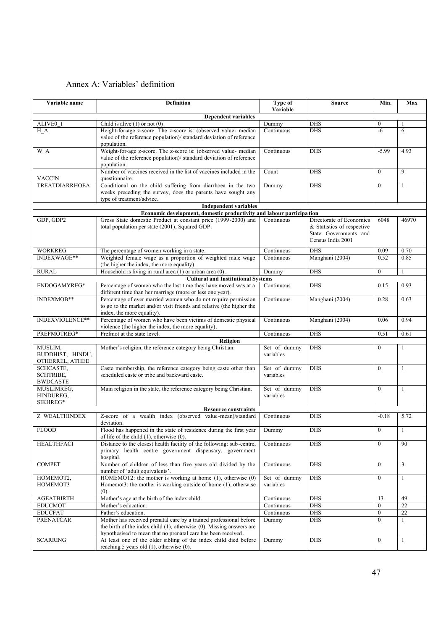# Annex A: Variables' definition

| Variable name                                  | <b>Definition</b>                                                                                                                                                                                                 | Type of<br>Variable       | <b>Source</b>                                                                                        | Min.             | Max            |
|------------------------------------------------|-------------------------------------------------------------------------------------------------------------------------------------------------------------------------------------------------------------------|---------------------------|------------------------------------------------------------------------------------------------------|------------------|----------------|
|                                                | <b>Dependent variables</b>                                                                                                                                                                                        |                           |                                                                                                      |                  |                |
| ALIVE0 1                                       | Child is alive $(1)$ or not $(0)$ .                                                                                                                                                                               | Dummy                     | <b>DHS</b>                                                                                           | $\mathbf{0}$     |                |
| H A                                            | Height-for-age z-score. The z-score is: (observed value- median<br>value of the reference population)/ standard deviation of reference<br>population.                                                             | Continuous                | <b>DHS</b>                                                                                           | $-6$             | 6              |
| W A                                            | Weight-for-age z-score. The z-score is: (observed value- median<br>value of the reference population)/ standard deviation of reference<br>population.                                                             | Continuous                | <b>DHS</b>                                                                                           | $-5.99$          | 4.93           |
| <b>VACCIN</b>                                  | Number of vaccines received in the list of vaccines included in the<br>questionnaire.                                                                                                                             | Count                     | <b>DHS</b>                                                                                           | $\Omega$         | 9              |
| <b>TREATDIARRHOEA</b>                          | Conditional on the child suffering from diarrhoea in the two<br>weeks preceding the survey, does the parents have sought any<br>type of treatment/advice.                                                         | Dummy                     | <b>DHS</b>                                                                                           | $\overline{0}$   | $\mathbf{1}$   |
|                                                | <b>Independent variables</b>                                                                                                                                                                                      |                           |                                                                                                      |                  |                |
|                                                | Economic development, domestic productivity and labour participa tion                                                                                                                                             |                           |                                                                                                      |                  |                |
| GDP, GDP2                                      | Gross State domestic Product at constant price (1999-2000) and<br>total population per state (2001), Squared GDP.                                                                                                 | Continuous                | Directorate of Economics<br>& Statistics of respective<br>State Governments and<br>Census India 2001 | 6048             | 46970          |
| WORKREG                                        | The percentage of women working in a state.                                                                                                                                                                       | Continuous                | <b>DHS</b>                                                                                           | 0.09             | 0.70           |
| INDEXWAGE**                                    | Weighted female wage as a proportion of weighted male wage<br>(the higher the index, the more equality).                                                                                                          | Continuous                | Manghani (2004)                                                                                      | 0.52             | 0.85           |
| <b>RURAL</b>                                   | Household is living in rural area $(1)$ or urban area $(0)$ .                                                                                                                                                     | Dummy                     | <b>DHS</b>                                                                                           | $\mathbf{0}$     | $\mathbf{1}$   |
| ENDOGAMYREG*                                   | <b>Cultural and Institutional Systems</b>                                                                                                                                                                         |                           |                                                                                                      |                  |                |
|                                                | Percentage of women who the last time they have moved was at a<br>different time than her marriage (more or less one year).                                                                                       | Continuous                | <b>DHS</b>                                                                                           | 0.15             | 0.93           |
| INDEXMOB**                                     | Percentage of ever married women who do not require permission<br>to go to the market and/or visit friends and relative (the higher the<br>index, the more equality).                                             | Continuous                | Manghani (2004)                                                                                      | 0.28             | 0.63           |
| INDEXVIOLENCE**                                | Percentage of women who have been victims of domestic physical<br>violence (the higher the index, the more equality).                                                                                             | Continuous                | Manghani (2004)                                                                                      | 0.06             | 0.94           |
| PREFMOTREG*                                    | Prefmot at the state level.                                                                                                                                                                                       | Continuous                | <b>DHS</b>                                                                                           | 0.51             | 0.61           |
|                                                | Religion                                                                                                                                                                                                          |                           |                                                                                                      |                  |                |
| MUSLIM,<br>BUDDHIST, HINDU,<br>OTHERREL, ATHEE | Mother's religion, the reference category being Christian.                                                                                                                                                        | Set of dummy<br>variables | <b>DHS</b>                                                                                           | $\mathbf{0}$     | 1              |
| SCHCASTE,<br>SCHTRIBE,<br><b>BWDCASTE</b>      | Caste membership, the reference category being caste other than<br>scheduled caste or tribe and backward caste.                                                                                                   | Set of dummy<br>variables | <b>DHS</b>                                                                                           | $\mathbf{0}$     | 1              |
| MUSLIMREG,<br>HINDUREG,<br>SIKHREG*            | Main religion in the state, the reference category being Christian.                                                                                                                                               | Set of dummy<br>variables | <b>DHS</b>                                                                                           | $\mathbf{0}$     | $\mathbf{1}$   |
|                                                | <b>Resource constraints</b>                                                                                                                                                                                       |                           |                                                                                                      |                  |                |
| <b>Z WEALTHINDEX</b>                           | Z-score of a wealth index (observed value-mean)/standard<br>deviation.                                                                                                                                            | Continuous                | <b>DHS</b>                                                                                           | $-0.18$          | 5.72           |
| <b>FLOOD</b>                                   | Flood has happened in the state of residence during the first year<br>of life of the child $(1)$ , otherwise $(0)$ .                                                                                              | Dummy                     | <b>DHS</b>                                                                                           | $\theta$         | 1              |
| <b>HEALTHFACI</b>                              | Distance to the closest health facility of the following: sub-centre,<br>primary health centre government dispensary, government<br>hospital.                                                                     | Continuous                | <b>DHS</b>                                                                                           | $\overline{0}$   | 90             |
| <b>COMPET</b>                                  | Number of children of less than five years old divided by the<br>number of 'adult equivalents'.                                                                                                                   | Continuous                | <b>DHS</b>                                                                                           | $\overline{0}$   | $\overline{3}$ |
| HOMEMOT2,<br>HOMEMOT3                          | HOMEMOT2: the mother is working at home (1), otherwise (0)<br>Homemot3: the mother is working outside of home (1), otherwise<br>(0).                                                                              | Set of dummy<br>variables | <b>DHS</b>                                                                                           | $\overline{0}$   | $\mathbf{1}$   |
| <b>AGEATBIRTH</b>                              | Mother's age at the birth of the index child.                                                                                                                                                                     | Continuous                | <b>DHS</b>                                                                                           | 13               | 49             |
| <b>EDUCMOT</b>                                 | Mother's education.                                                                                                                                                                                               | Continuous                | <b>DHS</b>                                                                                           | $\boldsymbol{0}$ | 22             |
| <b>EDUCFAT</b>                                 | Father's education.                                                                                                                                                                                               | Continuous                | <b>DHS</b>                                                                                           | $\mathbf{0}$     | 22             |
| <b>PRENATCAR</b>                               | Mother has received prenatal care by a trained professional before<br>the birth of the index child $(1)$ , otherwise $(0)$ . Missing answers are<br>hypothesised to mean that no prenatal care has been received. | Dummy                     | <b>DHS</b>                                                                                           | $\overline{0}$   | 1              |
| <b>SCARRING</b>                                | At least one of the older sibling of the index child died before<br>reaching 5 years old (1), otherwise (0).                                                                                                      | Dummy                     | <b>DHS</b>                                                                                           | $\overline{0}$   | 1              |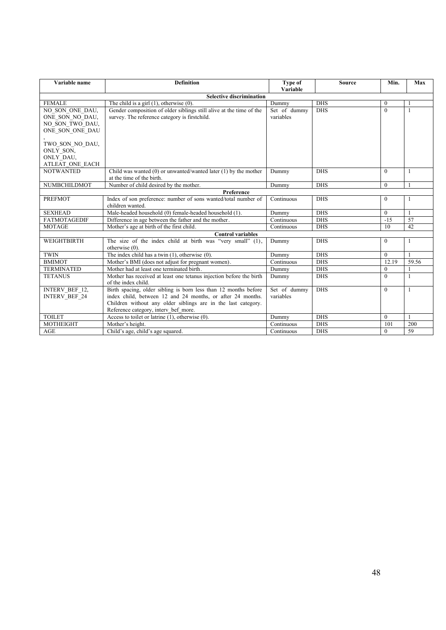| Variable name                                                            | <b>Definition</b>                                                                                                                                                                                                                      | Type of<br>Variable       | <b>Source</b> | Min.         | Max          |
|--------------------------------------------------------------------------|----------------------------------------------------------------------------------------------------------------------------------------------------------------------------------------------------------------------------------------|---------------------------|---------------|--------------|--------------|
|                                                                          | <b>Selective discrimination</b>                                                                                                                                                                                                        |                           |               |              |              |
| <b>FEMALE</b>                                                            | The child is a girl $(1)$ , otherwise $(0)$ .                                                                                                                                                                                          | Dummy                     | <b>DHS</b>    | $\theta$     | 1            |
| NO SON ONE DAU,<br>ONE SON NO DAU,<br>NO SON TWO DAU,<br>ONE SON ONE DAU | Gender composition of older siblings still alive at the time of the<br>survey. The reference category is firstchild.                                                                                                                   | Set of dummy<br>variables | <b>DHS</b>    | $\theta$     | $\mathbf{1}$ |
| TWO SON NO DAU,<br>ONLY SON,<br>ONLY DAU,<br>ATLEAT ONE EACH             |                                                                                                                                                                                                                                        |                           |               |              |              |
| <b>NOTWANTED</b>                                                         | Child was wanted (0) or unwanted/wanted later $(1)$ by the mother<br>at the time of the birth.                                                                                                                                         | Dummy                     | <b>DHS</b>    | $\theta$     | $\mathbf{1}$ |
| NUMBCHILDMOT                                                             | Number of child desired by the mother.                                                                                                                                                                                                 | Dummy                     | <b>DHS</b>    | $\theta$     | $\mathbf{1}$ |
|                                                                          | Preference                                                                                                                                                                                                                             |                           |               |              |              |
| <b>PREFMOT</b>                                                           | Index of son preference: number of sons wanted/total number of<br>children wanted.                                                                                                                                                     | Continuous                | <b>DHS</b>    | $\theta$     | $\mathbf{1}$ |
| <b>SEXHEAD</b>                                                           | Male-headed household (0) female-headed household (1).                                                                                                                                                                                 | Dummy                     | <b>DHS</b>    | $\theta$     | $\mathbf{1}$ |
| <b>FATMOTAGEDIF</b>                                                      | Difference in age between the father and the mother.                                                                                                                                                                                   | Continuous                | <b>DHS</b>    | $-15$        | 57           |
| <b>MOTAGE</b>                                                            | Mother's age at birth of the first child.                                                                                                                                                                                              | Continuous                | <b>DHS</b>    | 10           | 42           |
|                                                                          | <b>Control variables</b>                                                                                                                                                                                                               |                           |               |              |              |
| WEIGHTBIRTH                                                              | The size of the index child at birth was "very small" (1),<br>otherwise (0).                                                                                                                                                           | Dummy                     | <b>DHS</b>    | $\theta$     | $\mathbf{1}$ |
| <b>TWIN</b>                                                              | The index child has a twin $(1)$ , otherwise $(0)$ .                                                                                                                                                                                   | Dummy                     | <b>DHS</b>    | $\Omega$     | $\mathbf{1}$ |
| <b>BMIMOT</b>                                                            | Mother's BMI (does not adjust for pregnant women).                                                                                                                                                                                     | Continuous                | <b>DHS</b>    | 12.19        | 59.56        |
| <b>TERMINATED</b>                                                        | Mother had at least one terminated birth.                                                                                                                                                                                              | Dummy                     | <b>DHS</b>    | $\mathbf{0}$ |              |
| <b>TETANUS</b>                                                           | Mother has received at least one tetanus injection before the birth<br>of the index child.                                                                                                                                             | Dummy                     | <b>DHS</b>    | $\theta$     | $\mathbf{1}$ |
| INTERV_BEF_12,<br><b>INTERV BEF 24</b>                                   | Birth spacing, older sibling is born less than 12 months before<br>index child, between 12 and 24 months, or after 24 months.<br>Children without any older siblings are in the last category.<br>Reference category, interv bef more. | Set of dummy<br>variables | <b>DHS</b>    | $\theta$     | $\mathbf{1}$ |
| <b>TOILET</b>                                                            | Access to toilet or latrine $(1)$ , otherwise $(0)$ .                                                                                                                                                                                  | Dummy                     | <b>DHS</b>    | $\theta$     | $\mathbf{1}$ |
| MOTHEIGHT                                                                | Mother's height.                                                                                                                                                                                                                       | Continuous                | <b>DHS</b>    | 101          | 200          |
| <b>AGE</b>                                                               | Child's age, child's age squared.                                                                                                                                                                                                      | Continuous                | <b>DHS</b>    | $\theta$     | 59           |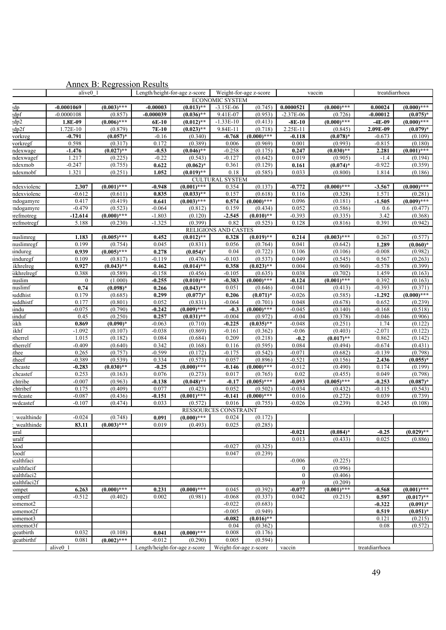|                       | alive <sub>0</sub> 1   | $\frac{1}{2}$ miller $B$ . Respectively | Length/height-for-age z-score |                            | Weight-for-age z-score |                         |                     | vaccin                 | treatdiarrhoea       |                    |
|-----------------------|------------------------|-----------------------------------------|-------------------------------|----------------------------|------------------------|-------------------------|---------------------|------------------------|----------------------|--------------------|
|                       | <b>ECONOMIC SYSTEM</b> |                                         |                               |                            |                        |                         |                     |                        |                      |                    |
| ;dp                   | $-0.0001069$           | $(0.003)$ ***                           | $-0.00003$                    | $(0.013)$ **               | $-3.15E-06$            | (0.745)                 | 0.0000521           | $(0.000)$ ***          | 0.00024              | $(0.000)$ ***      |
| ;dpf                  | $-0.0000108$           | (0.857)                                 | $-0.000039$                   | $(0.036)$ **               | 9.41E-07               | (0.953)                 | $-2.37E-06$         | (0.726)                | -0.00012             | $(0.075)*$         |
| d p 2                 | 1.8E-09                | $(0.006)$ ***                           | 6E-10                         | $(0.012)$ **               | $-1.33E-10$            | (0.413)                 | $-8E-10$            | $(0.000)$ ***          | $-4E-09$             | $(0.000)$ ***      |
| $d$ p2f               | 1.72E-10               | (0.879)                                 | <b>7E-10</b>                  | $(0.023)$ **               | 9.84E-11               | (0.718)                 | 2.25E-11            | (0.845)                | 2.09E-09             | $(0.079)*$         |
| vorkreg               | $-0.791$               | $(0.057)^*$                             | $-0.16$                       | (0.340)                    | $-0.768$               | $(0.000)$ ***           | $-0.118$            | $(0.078)$ *            | $-0.673$             | (0.109)            |
| vorkregf              | 0.598                  | (0.317)                                 | 0.172                         | (0.389)                    | 0.006                  | (0.969)                 | 0.001               | (0.993)                | $-0.815$             | (0.180)            |
| ndexwage              | $-1.476$               | $(0.027)$ **                            | $-0.53$                       | $(0.046)$ **               | $-0.258$               | (0.175)                 | 0.247               | $(0.030)$ **           | 2.281                | $(0.001)$ ***      |
| ndexwagef             | 1.217                  | (0.225)                                 | $-0.22$                       | (0.543)                    | $-0.127$               | (0.642)                 | 0.019               | (0.905)                | $-1.4$<br>$-0.922$   | (0.194)            |
| ndexmob               | $-0.247$<br>1.321      | (0.755)<br>(0.251)                      | 0.622<br>1.052                | $(0.062)*$<br>$(0.019)$ ** | 0.361<br>0.18          | (0.129)                 | 0.161<br>0.033      | $(0.074)$ *<br>(0.800) | 1.814                | (0.359)            |
| ndexmobf              |                        |                                         |                               |                            | <b>CULTURAL SYSTEM</b> | (0.585)                 |                     |                        |                      | (0.186)            |
| ndexviolenc           | 2.307                  | $(0.001)$ ***                           | $-0.948$                      | $(0.001)$ ***              | 0.354                  | (0.137)                 | $-0.772$            | $(0.000)$ ***          | $-3.567$             | $(0.000)$ ***      |
| ndexviolenc           | $-0.612$               | (0.611)                                 | 0.835                         | $(0.033)$ **               | 0.157                  | (0.618)                 | 0.116               | (0.328)                | 1.571                | (0.281)            |
| ndogamyre             | 0.417                  | (0.419)                                 | 0.641                         | $(0.003)$ ***              | 0.574                  | $(0.000)$ ***           | 0.096               | (0.181)                | $-1.505$             | $(0.009)$ ***      |
| ndogamyre             | $-0.479$               | (0.523)                                 | $-0.064$                      | (0.812)                    | 0.159                  | (0.434)                 | 0.052               | (0.586)                | 0.6                  | (0.477)            |
| vrefmotreg            | $-12.614$              | $(0.000)$ ***                           | $-1.803$                      | (0.120)                    | $-2.545$               | $(0.010)$ **            | $-0.393$            | (0.335)                | 3.42                 | (0.368)            |
| vrefmotregf           | 5.188                  | (0.230)                                 | $-1.325$                      | (0.399)                    | 0.82                   | (0.525)                 | 0.128               | (0.816)                | 0.391                | (0.942)            |
|                       |                        |                                         |                               |                            | RELIGIONS AND CASTES   |                         |                     |                        |                      |                    |
| nuslimreg             | 1.183                  | $(0.005)$ ***                           | 0.452                         | $(0.012)$ **               | 0.328                  | $(0.019)$ **            | 0.214               | $(0.003)$ ***          | 0.267                | (0.577)            |
| nuslimregf            | 0.199                  | (0.754)                                 | 0.045                         | (0.831)                    | 0.056                  | (0.764)                 | 0.041               | (0.642)                | 1.289                | $(0.060)*$         |
| indureg               | 0.939                  | $(0.005)$ ***                           | 0.278                         | $(0.054)$ *                | 0.04                   | (0.722)                 | 0.106               | (0.106)                | $-0.008$             | (0.982)            |
| induregf              | 0.109                  | (0.817)                                 | $-0.119$                      | (0.476)                    | $-0.103$               | (0.537)                 | 0.049               | (0.545)                | 0.567                | (0.263)            |
| ikhrelreg             | 0.927                  | $(0.043)$ **                            | 0.462                         | $(0.014)$ **               | 0.358                  | $(0.023)$ **            | 0.004               | (0.960)                | $-0.578$             | (0.399)            |
| <b>Sikhrelregf</b>    | 0.388                  | (0.589)                                 | $-0.158$                      | (0.456)                    | $-0.105$               | (0.635)                 | 0.038               | (0.702)                | 1.459                | (0.163)            |
| nuslim                | $\boldsymbol{0}$       | (1.000)                                 | $-0.255$                      | $(0.010)$ **               | $-0.383$               | $(0.000)$ ***           | $-0.124$            | $(0.001)$ ***          | 0.392                | (0.163)            |
| nuslimf               | 0.74                   | $(0.098)$ *                             | 0.266                         | $(0.043)$ **               | 0.051                  | (0.646)                 | $-0.041$            | (0.413)                | $-0.393$             | (0.371)            |
| vuddhist              | 0.179                  | (0.685)                                 | 0.299                         | $(0.077)*$                 | 0.206                  | $(0.071)^*$             | $-0.026$            | (0.585)                | $-1.292$             | $(0.000)$ ***      |
| <i>v</i> uddhistf     | 0.177                  | (0.801)                                 | 0.052                         | (0.831)                    | $-0.064$               | (0.701)                 | 0.048               | (0.678)                | 0.652                | (0.239)            |
| ıindu                 | $-0.075$               | (0.790)                                 | $-0.242$                      | $(0.009)$ ***              | $-0.3$<br>$-0.004$     | $(0.000)$ ***           | $-0.045$<br>$-0.04$ | (0.140)                | $-0.168$<br>$-0.046$ | (0.518)            |
| ıinduf<br><b>Sikh</b> | 0.45<br>0.869          | (0.250)<br>$(0.090)*$                   | 0.257<br>$-0.063$             | $(0.031)$ **<br>(0.710)    | $-0.225$               | (0.972)<br>$(0.035)$ ** | $-0.048$            | (0.378)<br>(0.251)     | 1.74                 | (0.906)<br>(0.122) |
| ikhf                  | $-1.092$               | (0.107)                                 | $-0.038$                      | (0.869)                    | $-0.161$               | (0.362)                 | $-0.06$             | (0.403)                | $-2.071$             | (0.122)            |
| therrel               | 1.015                  | (0.182)                                 | 0.084                         | (0.684)                    | 0.209                  | (0.218)                 | $-0.2$              | $(0.017)$ **           | 0.862                | (0.142)            |
| therrelf              | $-0.409$               | (0.640)                                 | 0.342                         | (0.168)                    | 0.116                  | (0.595)                 | 0.084               | (0.494)                | $-0.674$             | (0.431)            |
| thee                  | 0.265                  | (0.757)                                 | $-0.599$                      | (0.172)                    | $-0.175$               | (0.542)                 | $-0.071$            | (0.682)                | $-0.139$             | (0.798)            |
| itheef                | $-0.389$               | (0.539)                                 | 0.334                         | (0.573)                    | 0.057                  | (0.896)                 | $-0.521$            | (0.156)                | 2.436                | $(0.055)^*$        |
| chcaste               | $-0.283$               | $(0.030)$ **                            | $-0.25$                       | $(0.000)$ ***              | $-0.146$               | $(0.000)$ ***           | $-0.012$            | (0.490)                | 0.174                | (0.199)            |
| chcastef              | 0.253                  | (0.163)                                 | 0.076                         | (0.273)                    | 0.017                  | (0.765)                 | 0.02                | (0.455)                | 0.049                | (0.798)            |
| chtribe               | $-0.007$               | (0.963)                                 | $-0.138$                      | $(0.048)$ **               | $-0.17$                | $(0.005)$ ***           | $-0.093$            | $(0.005)$ ***          | $-0.253$             | $(0.087)$ *        |
| chtribef              | 0.175                  | (0.409)                                 | 0.077                         | (0.423)                    | 0.052                  | (0.502)                 | $-0.034$            | (0.432)                | $-0.115$             | (0.543)            |
| wdcaste               | $-0.087$               | (0.436)                                 | $-0.151$                      | $(0.001)$ ***              | $-0.141$               | $(0.000)$ ***           | 0.016               | (0.272)                | 0.039                | (0.739)            |
| wdcastef              | $-0.107$               | (0.474)                                 | 0.033                         | (0.572)                    | 0.016                  | (0.755)                 | $-0.026$            | (0.239)                | 0.245                | (0.108)            |
|                       |                        |                                         |                               |                            | RESSOURCES CONSTRAINT  |                         |                     |                        |                      |                    |
| wealthinde            | $-0.024$               | (0.748)                                 | 0.091                         | $(0.000)$ ***              | 0.024                  | (0.172)                 |                     |                        |                      |                    |
| wealthinde            | 83.11                  | $(0.003)$ ***                           | 0.019                         | (0.493)                    | 0.025                  | (0.285)                 |                     |                        |                      |                    |
| ural                  |                        |                                         |                               |                            |                        |                         | $-0.021$            | $(0.084)$ *            | $-0.25$              | $(0.029)$ **       |
| uralf                 |                        |                                         |                               |                            |                        |                         | 0.013               | (0.433)                | 0.025                | (0.886)            |
| lood                  |                        |                                         |                               |                            | $-0.027$               | (0.325)                 |                     |                        |                      |                    |
| loodf<br>realthfaci   |                        |                                         |                               |                            | 0.047                  | (0.239)                 | $-0.006$            | (0.225)                |                      |                    |
| <i>v</i> ealthfacif   |                        |                                         |                               |                            |                        |                         | $\boldsymbol{0}$    | (0.996)                |                      |                    |
| ealthfaci2            |                        |                                         |                               |                            |                        |                         | $\bf{0}$            | (0.406)                |                      |                    |
| realthfaci2f          |                        |                                         |                               |                            |                        |                         | $\boldsymbol{0}$    | (0.209)                |                      |                    |
| ompet                 | 6.263                  | $(0.000)$ ***                           | 0.231                         | $(0.000)$ ***              | 0.045                  | (0.392)                 | $-0.077$            | $(0.001)$ ***          | $-0.568$             | $(0.001)$ ***      |
| ompetf                | $-0.512$               | (0.402)                                 | 0.002                         | (0.981)                    | $-0.068$               | (0.337)                 | 0.042               | (0.215)                | 0.597                | $(0.017)$ **       |
| iomemot2              |                        |                                         |                               |                            | $-0.022$               | (0.683)                 |                     |                        | $-0.322$             | $(0.091)^*$        |
| iomemot2f             |                        |                                         |                               |                            | $-0.005$               | (0.949)                 |                     |                        | 0.519                | $(0.051)^*$        |
| iomemot3              |                        |                                         |                               |                            | $-0.082$               | $(0.016)$ **            |                     |                        | 0.121                | (0.215)            |
| iomemot3f             |                        |                                         |                               |                            | 0.04                   | (0.362)                 |                     |                        | 0.08                 | (0.572)            |
| geatbirth             | 0.032                  | (0.108)                                 | 0.041                         | $(0.000)$ ***              | 0.008                  | (0.176)                 |                     |                        |                      |                    |
| geatbirthf            | 0.081                  | $(0.002)$ ***                           | $-0.012$                      | (0.290)                    | 0.005                  | (0.594)                 |                     |                        |                      |                    |
|                       | alive0 1               |                                         | Length/height-for-age z-score |                            | Weight-for-age z-score |                         | vaccin              |                        | treatdiarrhoea       |                    |

# Annex B: Regression Results